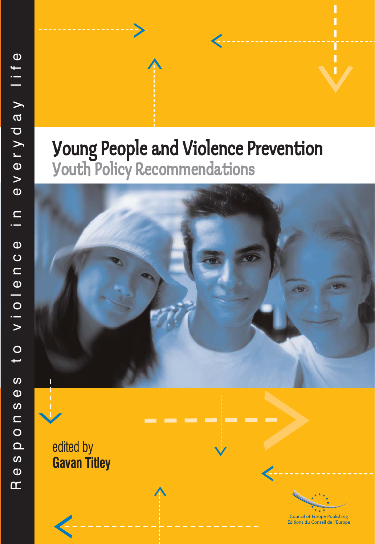# Young People and Violence Prevention Youth Policy Recommendations



and the second

edited by **Gavan Titley**



**Council of Europe Publishing** Editions du Conseil de l'Europe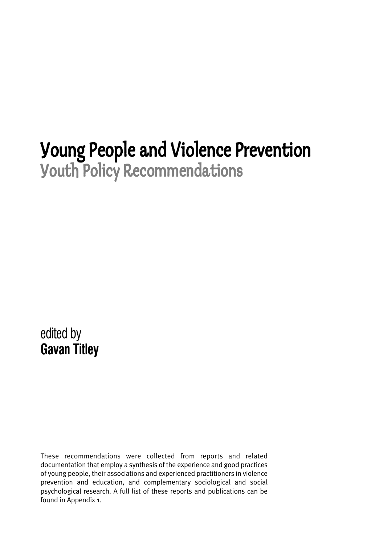# Young People and Violence Prevention Youth Policy Recommendations

edited by **Gavan Titley**

These recommendations were collected from reports and related documentation that employ a synthesis of the experience and good practices of young people, their associations and experienced practitioners in violence prevention and education, and complementary sociological and social psychological research. A full list of these reports and publications can be found in Appendix 1.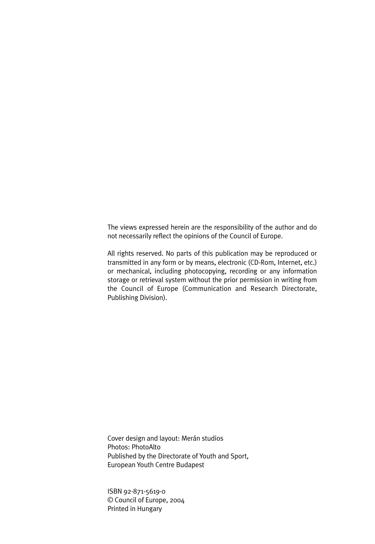The views expressed herein are the responsibility of the author and do not necessarily reflect the opinions of the Council of Europe.

All rights reserved. No parts of this publication may be reproduced or transmitted in any form or by means, electronic (CD-Rom, Internet, etc.) or mechanical, including photocopying, recording or any information storage or retrieval system without the prior permission in writing from the Council of Europe (Communication and Research Directorate, Publishing Division).

Cover design and layout: Merán studios Photos: PhotoAlto Published by the Directorate of Youth and Sport, European Youth Centre Budapest

ISBN 92-871-5619-0 © Council of Europe, 2004 Printed in Hungary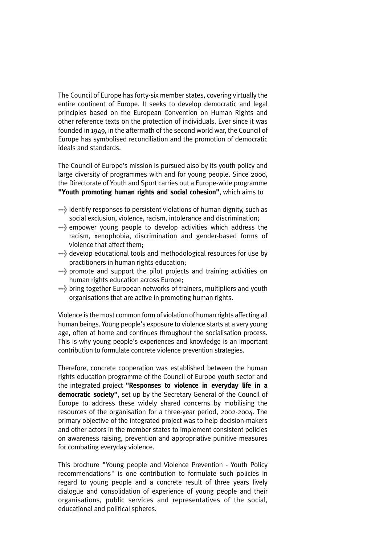The Council of Europe has forty-six member states, covering virtually the entire continent of Europe. It seeks to develop democratic and legal principles based on the European Convention on Human Rights and other reference texts on the protection of individuals. Ever since it was founded in 1949, in the aftermath of the second world war, the Council of Europe has symbolised reconciliation and the promotion of democratic ideals and standards.

The Council of Europe's mission is pursued also by its youth policy and large diversity of programmes with and for young people. Since 2000, the Directorate of Youth and Sport carries out a Europe-wide programme **"Youth promoting human rights and social cohesion"**, which aims to

- >identify responses to persistent violations of human dignity, such as social exclusion, violence, racism, intolerance and discrimination;
- >empower young people to develop activities which address the racism, xenophobia, discrimination and gender-based forms of violence that affect them;
- >develop educational tools and methodological resources for use by practitioners in human rights education;
- >promote and support the pilot projects and training activities on human rights education across Europe;
- >bring together European networks of trainers, multipliers and youth organisations that are active in promoting human rights.

Violence is the most common form of violation of human rights affecting all human beings. Young people's exposure to violence starts at a very young age, often at home and continues throughout the socialisation process. This is why young people's experiences and knowledge is an important contribution to formulate concrete violence prevention strategies.

Therefore, concrete cooperation was established between the human rights education programme of the Council of Europe youth sector and the integrated project **"Responses to violence in everyday life in a democratic society"**, set up by the Secretary General of the Council of Europe to address these widely shared concerns by mobilising the resources of the organisation for a three-year period, 2002-2004. The primary objective of the integrated project was to help decision-makers and other actors in the member states to implement consistent policies on awareness raising, prevention and appropriative punitive measures for combating everyday violence.

This brochure "Young people and Violence Prevention - Youth Policy recommendations" is one contribution to formulate such policies in regard to young people and a concrete result of three years lively dialogue and consolidation of experience of young people and their organisations, public services and representatives of the social, educational and political spheres.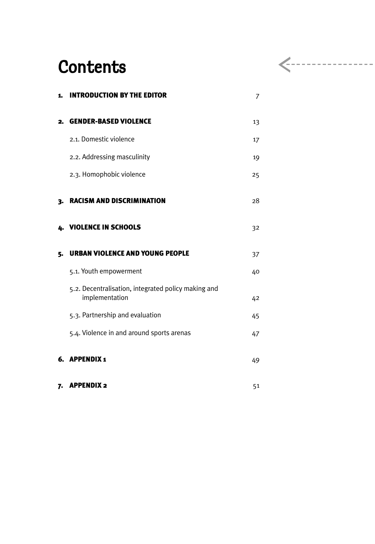## **Contents**

| 1. | <b>INTRODUCTION BY THE EDITOR</b>                                     | 7  |
|----|-----------------------------------------------------------------------|----|
| 2. | <b>GENDER-BASED VIOLENCE</b>                                          | 13 |
|    | 2.1. Domestic violence                                                | 17 |
|    | 2.2. Addressing masculinity                                           | 19 |
|    | 2.3. Homophobic violence                                              | 25 |
| 3. | <b>RACISM AND DISCRIMINATION</b>                                      | 28 |
| 4. | <b>VIOLENCE IN SCHOOLS</b>                                            | 32 |
| 5. | <b>URBAN VIOLENCE AND YOUNG PEOPLE</b>                                | 37 |
|    | 5.1. Youth empowerment                                                | 40 |
|    | 5.2. Decentralisation, integrated policy making and<br>implementation | 42 |
|    | 5.3. Partnership and evaluation                                       | 45 |
|    | 5.4. Violence in and around sports arenas                             | 47 |
|    | 6. APPENDIX 1                                                         | 49 |
| 7. | <b>APPENDIX 2</b>                                                     | 51 |

 $\leftarrow$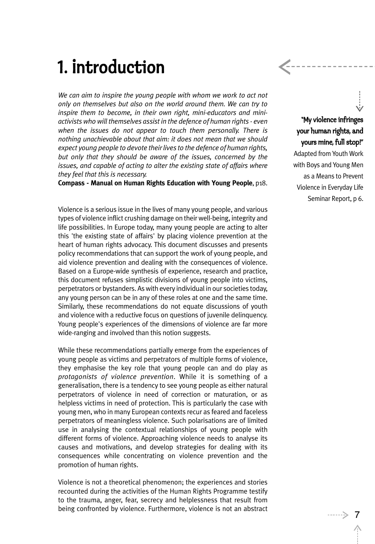# 1. Introduction

*We can aim to inspire the young people with whom we work to act not only on themselves but also on the world around them. We can try to inspire them to become, in their own right, mini-educators and miniactivists who will themselves assist in the defence of human rights - even when the issues do not appear to touch them personally. There is nothing unachievable about that aim: it does not mean that we should expect young people to devote their lives to the defence of human rights, but only that they should be aware of the issues, concerned by the issues, and capable of acting to alter the existing state of affairs where they feel that this is necessary.*

**Compass - Manual on Human Rights Education with Young People**, p18.

Violence is a serious issue in the lives of many young people, and various types of violence inflict crushing damage on their well-being, integrity and life possibilities. In Europe today, many young people are acting to alter this 'the existing state of affairs' by placing violence prevention at the heart of human rights advocacy. This document discusses and presents policy recommendations that can support the work of young people, and aid violence prevention and dealing with the consequences of violence. Based on a Europe-wide synthesis of experience, research and practice, this document refuses simplistic divisions of young people into victims, perpetrators or bystanders. As with every individual in our societies today, any young person can be in any of these roles at one and the same time. Similarly, these recommendations do not equate discussions of youth and violence with a reductive focus on questions of juvenile delinquency. Young people's experiences of the dimensions of violence are far more wide-ranging and involved than this notion suggests.

While these recommendations partially emerge from the experiences of young people as victims and perpetrators of multiple forms of violence, they emphasise the key role that young people can and do play as *protagonists of violence prevention*. While it is something of a generalisation, there is a tendency to see young people as either natural perpetrators of violence in need of correction or maturation, or as helpless victims in need of protection. This is particularly the case with young men, who in many European contexts recur as feared and faceless perpetrators of meaningless violence. Such polarisations are of limited use in analysing the contextual relationships of young people with different forms of violence. Approaching violence needs to analyse its causes and motivations, and develop strategies for dealing with its consequences while concentrating on violence prevention and the promotion of human rights.

Violence is not a theoretical phenomenon; the experiences and stories recounted during the activities of the Human Rights Programme testify to the trauma, anger, fear, secrecy and helplessness that result from being confronted by violence. Furthermore, violence is not an abstract <sup>7</sup>

"My violence infringes your human rights, and yours mine, full stop!" Adapted from Youth Work with Boys and Young Men as a Means to Prevent Violence in Everyday Life Seminar Report, p 6.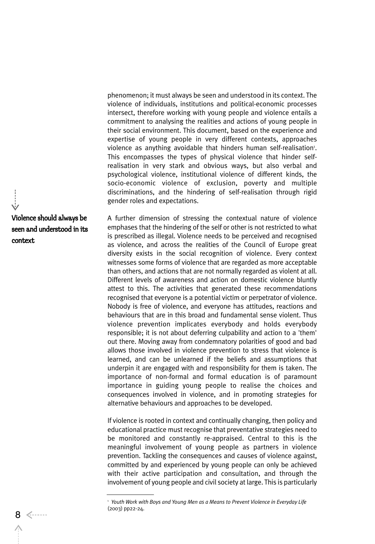phenomenon; it must always be seen and understood in its context. The violence of individuals, institutions and political-economic processes intersect, therefore working with young people and violence entails a commitment to analysing the realities and actions of young people in their social environment. This document, based on the experience and expertise of young people in very different contexts, approaches violence as anything avoidable that hinders human self-realisation<sup>1</sup>. This encompasses the types of physical violence that hinder selfrealisation in very stark and obvious ways, but also verbal and psychological violence, institutional violence of different kinds, the socio-economic violence of exclusion, poverty and multiple discriminations, and the hindering of self-realisation through rigid gender roles and expectations.

Violence should always be seen and understood in its context

A further dimension of stressing the contextual nature of violence emphases that the hindering of the self or other is not restricted to what is prescribed as illegal. Violence needs to be perceived and recognised as violence, and across the realities of the Council of Europe great diversity exists in the social recognition of violence. Every context witnesses some forms of violence that are regarded as more acceptable than others, and actions that are not normally regarded as violent at all. Different levels of awareness and action on domestic violence bluntly attest to this. The activities that generated these recommendations recognised that everyone is a potential victim or perpetrator of violence. Nobody is free of violence, and everyone has attitudes, reactions and behaviours that are in this broad and fundamental sense violent. Thus violence prevention implicates everybody and holds everybody responsible; it is not about deferring culpability and action to a 'them' out there. Moving away from condemnatory polarities of good and bad allows those involved in violence prevention to stress that violence is learned, and can be unlearned if the beliefs and assumptions that underpin it are engaged with and responsibility for them is taken. The importance of non-formal and formal education is of paramount importance in guiding young people to realise the choices and consequences involved in violence, and in promoting strategies for alternative behaviours and approaches to be developed.

If violence is rooted in context and continually changing, then policy and educational practice must recognise that preventative strategies need to be monitored and constantly re-appraised. Central to this is the meaningful involvement of young people as partners in violence prevention. Tackling the consequences and causes of violence against, committed by and experienced by young people can only be achieved with their active participation and consultation, and through the involvement of young people and civil society at large. This is particularly

<sup>&</sup>lt;sup>1</sup> Youth Work with Boys and Young Men as a Means to Prevent Violence in Everyday Life (2003) pp22-24.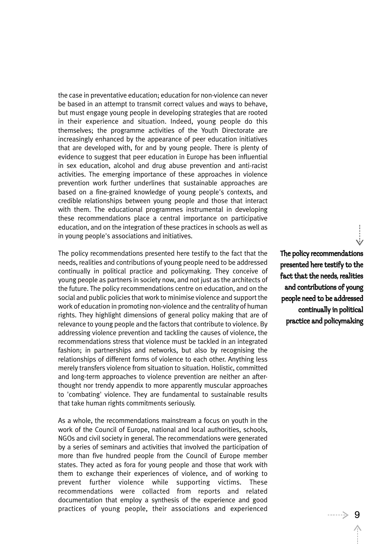the case in preventative education; education for non-violence can never be based in an attempt to transmit correct values and ways to behave, but must engage young people in developing strategies that are rooted in their experience and situation. Indeed, young people do this themselves; the programme activities of the Youth Directorate are increasingly enhanced by the appearance of peer education initiatives that are developed with, for and by young people. There is plenty of evidence to suggest that peer education in Europe has been influential in sex education, alcohol and drug abuse prevention and anti-racist activities. The emerging importance of these approaches in violence prevention work further underlines that sustainable approaches are based on a fine-grained knowledge of young people's contexts, and credible relationships between young people and those that interact with them. The educational programmes instrumental in developing these recommendations place a central importance on participative education, and on the integration of these practices in schools as well as in young people's associations and initiatives.

The policy recommendations presented here testify to the fact that the needs, realities and contributions of young people need to be addressed continually in political practice and policymaking. They conceive of young people as partners in society now, and not just as the architects of the future. The policy recommendations centre on education, and on the social and public policies that work to minimise violence and support the work of education in promoting non-violence and the centrality of human rights. They highlight dimensions of general policy making that are of relevance to young people and the factors that contribute to violence. By addressing violence prevention and tackling the causes of violence, the recommendations stress that violence must be tackled in an integrated fashion; in partnerships and networks, but also by recognising the relationships of different forms of violence to each other. Anything less merely transfers violence from situation to situation. Holistic, committed and long-term approaches to violence prevention are neither an afterthought nor trendy appendix to more apparently muscular approaches to 'combating' violence. They are fundamental to sustainable results that take human rights commitments seriously.

As a whole, the recommendations mainstream a focus on youth in the work of the Council of Europe, national and local authorities, schools, NGOs and civil society in general. The recommendations were generated by a series of seminars and activities that involved the participation of more than five hundred people from the Council of Europe member states. They acted as fora for young people and those that work with them to exchange their experiences of violence, and of working to prevent further violence while supporting victims. These recommendations were collacted from reports and related documentation that employ a synthesis of the experience and good practices of young people, their associations and experienced

The policy recommendations presented here testify to the fact that the needs, realities and contributions of young people need to be addressed continually in political practice and policymaking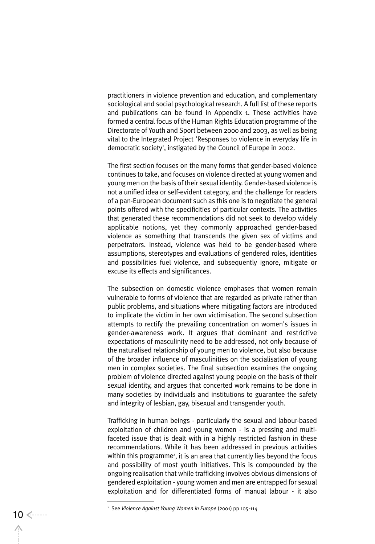practitioners in violence prevention and education, and complementary sociological and social psychological research. A full list of these reports and publications can be found in Appendix 1. These activities have formed a central focus of the Human Rights Education programme of the Directorate of Youth and Sport between 2000 and 2003, as well as being vital to the Integrated Project 'Responses to violence in everyday life in democratic society', instigated by the Council of Europe in 2002.

The first section focuses on the many forms that gender-based violence continues to take, and focuses on violence directed at young women and young men on the basis of their sexual identity. Gender-based violence is not a unified idea or self-evident category, and the challenge for readers of a pan-European document such as this one is to negotiate the general points offered with the specificities of particular contexts. The activities that generated these recommendations did not seek to develop widely applicable notions, yet they commonly approached gender-based violence as something that transcends the given sex of victims and perpetrators. Instead, violence was held to be gender-based where assumptions, stereotypes and evaluations of gendered roles, identities and possibilities fuel violence, and subsequently ignore, mitigate or excuse its effects and significances.

The subsection on domestic violence emphases that women remain vulnerable to forms of violence that are regarded as private rather than public problems, and situations where mitigating factors are introduced to implicate the victim in her own victimisation. The second subsection attempts to rectify the prevailing concentration on women's issues in gender-awareness work. It argues that dominant and restrictive expectations of masculinity need to be addressed, not only because of the naturalised relationship of young men to violence, but also because of the broader influence of masculinities on the socialisation of young men in complex societies. The final subsection examines the ongoing problem of violence directed against young people on the basis of their sexual identity, and argues that concerted work remains to be done in many societies by individuals and institutions to guarantee the safety and integrity of lesbian, gay, bisexual and transgender youth.

Trafficking in human beings - particularly the sexual and labour-based exploitation of children and young women - is a pressing and multifaceted issue that is dealt with in a highly restricted fashion in these recommendations. While it has been addressed in previous activities within this programme<sup>2</sup>, it is an area that currently lies beyond the focus and possibility of most youth initiatives. This is compounded by the ongoing realisation that while trafficking involves obvious dimensions of gendered exploitation - young women and men are entrapped for sexual exploitation and for differentiated forms of manual labour - it also

<sup>2</sup> See *Violence Against Young Women in Europe* (2001) pp 105-114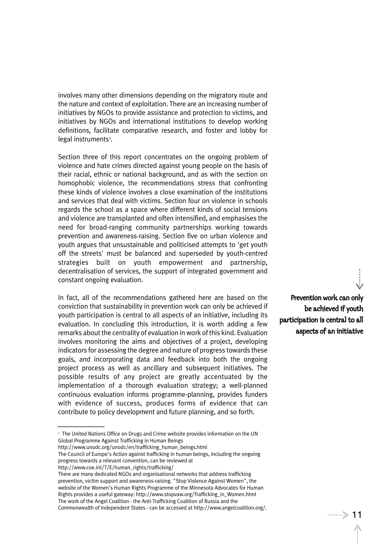involves many other dimensions depending on the migratory route and the nature and context of exploitation. There are an increasing number of initiatives by NGOs to provide assistance and protection to victims, and initiatives by NGOs and international institutions to develop working definitions, facilitate comparative research, and foster and lobby for legal instruments<sup>3</sup>.

Section three of this report concentrates on the ongoing problem of violence and hate crimes directed against young people on the basis of their racial, ethnic or national background, and as with the section on homophobic violence, the recommendations stress that confronting these kinds of violence involves a close examination of the institutions and services that deal with victims. Section four on violence in schools regards the school as a space where different kinds of social tensions and violence are transplanted and often intensified, and emphasises the need for broad-ranging community partnerships working towards prevention and awareness-raising. Section five on urban violence and youth argues that unsustainable and politicised attempts to 'get youth off the streets' must be balanced and superseded by youth-centred strategies built on youth empowerment and partnership, decentralisation of services, the support of integrated government and constant ongoing evaluation.

In fact, all of the recommendations gathered here are based on the conviction that sustainability in prevention work can only be achieved if youth participation is central to all aspects of an initiative, including its evaluation. In concluding this introduction, it is worth adding a few remarks about the centrality of evaluation in work of this kind. Evaluation involves monitoring the aims and objectives of a project, developing indicators for assessing the degree and nature of progress towards these goals, and incorporating data and feedback into both the ongoing project process as well as ancillary and subsequent initiatives. The possible results of any project are greatly accentuated by the implementation of a thorough evaluation strategy; a well-planned continuous evaluation informs programme-planning, provides funders with evidence of success, produces forms of evidence that can contribute to policy development and future planning, and so forth.

http://www.coe.int/T/E/human\_rights/trafficking/

Prevention work can only be achieved if youth participation is central to all aspects of an initiative

<sup>&</sup>lt;sup>3</sup> The United Nations Office on Drugs and Crime website provides information on the UN Global Programme Against Trafficking in Human Beings

http://www.unodc.org/unodc/en/trafficking\_human\_beings.html

The Council of Europe's Action against trafficking in human beings, including the ongoing progress towards a relevant convention, can be reviewed at

There are many dedicated NGOs and organisational networks that address trafficking prevention, victim support and awareness-raising. "Stop Violence Against Women", the website of the Women's Human Rights Programme of the Minnesota Advocates for Human Rights provides a useful gateway: http://www.stopvaw.org/Trafficking\_in\_Women.html The work of the Angel Coalition - the Anti-Trafficking Coalition of Russia and the Commonwealth of Independent States - can be accessed at http://www.angelcoalition.org/.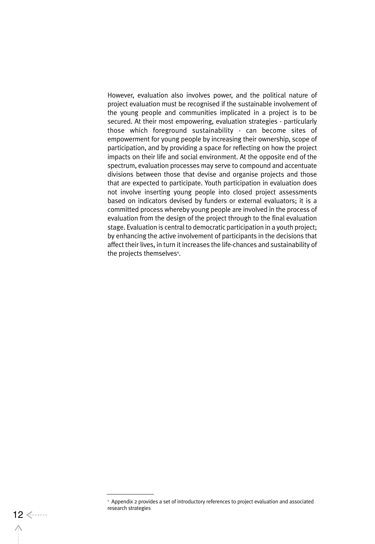However, evaluation also involves power, and the political nature of project evaluation must be recognised if the sustainable involvement of the young people and communities implicated in a project is to be secured. At their most empowering, evaluation strategies - particularly those which foreground sustainability - can become sites of empowerment for young people by increasing their ownership, scope of participation, and by providing a space for reflecting on how the project impacts on their life and social environment. At the opposite end of the spectrum, evaluation processes may serve to compound and accentuate divisions between those that devise and organise projects and those that are expected to participate. Youth participation in evaluation does not involve inserting young people into closed project assessments based on indicators devised by funders or external evaluators; it is a committed process whereby young people are involved in the process of evaluation from the design of the project through to the final evaluation stage. Evaluation is central to democratic participation in a youth project; by enhancing the active involvement of participants in the decisions that affect their lives, in turn it increases the life-chances and sustainability of the projects themselves<sup>4</sup>.

<sup>4</sup> Appendix 2 provides a set of introductory references to project evaluation and associated research strategies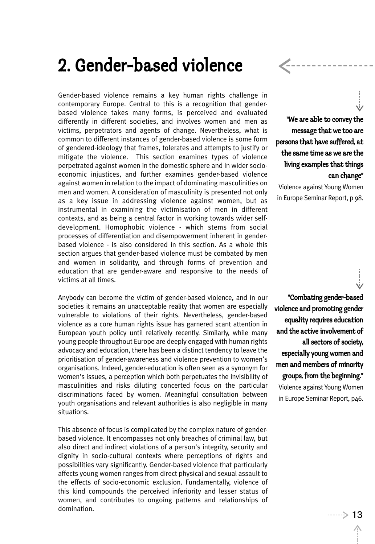## 2. Gender-based violence

Gender-based violence remains a key human rights challenge in contemporary Europe. Central to this is a recognition that genderbased violence takes many forms, is perceived and evaluated differently in different societies, and involves women and men as victims, perpetrators and agents of change. Nevertheless, what is common to different instances of gender-based violence is some form of gendered-ideology that frames, tolerates and attempts to justify or mitigate the violence. This section examines types of violence perpetrated against women in the domestic sphere and in wider socioeconomic injustices, and further examines gender-based violence against women in relation to the impact of dominating masculinities on men and women. A consideration of masculinity is presented not only as a key issue in addressing violence against women, but as instrumental in examining the victimisation of men in different contexts, and as being a central factor in working towards wider selfdevelopment. Homophobic violence - which stems from social processes of differentiation and disempowerment inherent in genderbased violence - is also considered in this section. As a whole this section argues that gender-based violence must be combated by men and women in solidarity, and through forms of prevention and education that are gender-aware and responsive to the needs of victims at all times.

Anybody can become the victim of gender-based violence, and in our societies it remains an unacceptable reality that women are especially vulnerable to violations of their rights. Nevertheless, gender-based violence as a core human rights issue has garnered scant attention in European youth policy until relatively recently. Similarly, while many young people throughout Europe are deeply engaged with human rights advocacy and education, there has been a distinct tendency to leave the prioritisation of gender-awareness and violence prevention to women's organisations. Indeed, gender-education is often seen as a synonym for women's issues, a perception which both perpetuates the invisibility of masculinities and risks diluting concerted focus on the particular discriminations faced by women. Meaningful consultation between youth organisations and relevant authorities is also negligible in many situations.

This absence of focus is complicated by the complex nature of genderbased violence. It encompasses not only breaches of criminal law, but also direct and indirect violations of a person's integrity, security and dignity in socio-cultural contexts where perceptions of rights and possibilities vary significantly. Gender-based violence that particularly affects young women ranges from direct physical and sexual assault to the effects of socio-economic exclusion. Fundamentally, violence of this kind compounds the perceived inferiority and lesser status of women, and contributes to ongoing patterns and relationships of domination.

"We are able to convey the message that we too are persons that have suffered, at the same time as we are the living examples that things can change"

Violence against Young Women in Europe Seminar Report, p 98.

"Combating gender-based violence and promoting gender equality requires education and the active involvement of all sectors of society, especially young women and men and members of minority groups, from the beginning." Violence against Young Women in Europe Seminar Report, p46.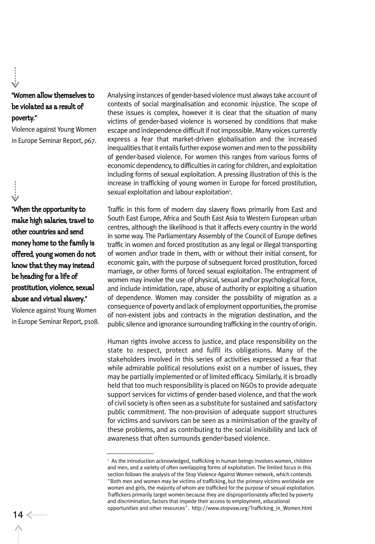## "Women allow themselves to be violated as a result of poverty."

Violence against Young Women in Europe Seminar Report, p67.

"When the opportunity to make high salaries, travel to other countries and send money home to the family is offered, young women do not know that they may instead be heading for a life of prostitution, violence, sexual abuse and virtual slavery."

Violence against Young Women in Europe Seminar Report, p108.

Analysing instances of gender-based violence must always take account of contexts of social marginalisation and economic injustice. The scope of these issues is complex, however it is clear that the situation of many victims of gender-based violence is worsened by conditions that make escape and independence difficult if not impossible. Many voices currently express a fear that market-driven globalisation and the increased inequalities that it entails further expose women and men to the possibility of gender-based violence. For women this ranges from various forms of economic dependency, to difficulties in caring for children, and exploitation including forms of sexual exploitation. A pressing illustration of this is the increase in trafficking of young women in Europe for forced prostitution, sexual exploitation and labour exploitation<sup>5</sup>.

Traffic in this form of modern day slavery flows primarily from East and South East Europe, Africa and South East Asia to Western European urban centres, although the likelihood is that it affects every country in the world in some way. The Parliamentary Assembly of the Council of Europe defines traffic in women and forced prostitution as any legal or illegal transporting of women and\or trade in them, with or without their initial consent, for economic gain, with the purpose of subsequent forced prostitution, forced marriage, or other forms of forced sexual exploitation. The entrapment of women may involve the use of physical, sexual and\or psychological force, and include intimidation, rape, abuse of authority or exploiting a situation of dependence. Women may consider the possibility of migration as a consequence of poverty and lack of employment opportunities, the promise of non-existent jobs and contracts in the migration destination, and the public silence and ignorance surrounding trafficking in the country of origin.

Human rights involve access to justice, and place responsibility on the state to respect, protect and fulfil its obligations. Many of the stakeholders involved in this series of activities expressed a fear that while admirable political resolutions exist on a number of issues, they may be partially implemented or of limited efficacy. Similarly, it is broadly held that too much responsibility is placed on NGOs to provide adequate support services for victims of gender-based violence, and that the work of civil society is often seen as a substitute for sustained and satisfactory public commitment. The non-provision of adequate support structures for victims and survivors can be seen as a minimisation of the gravity of these problems, and as contributing to the social invisibility and lack of awareness that often surrounds gender-based violence.

<sup>&</sup>lt;sup>5</sup> As the introduction acknowledged, trafficking in human beings involves women, children and men, and a variety of often overlapping forms of exploitation. The limited focus in this section follows the analysis of the Stop Violence Against Women network, which contends "Both men and women may be victims of trafficking, but the primary victims worldwide are women and girls, the majority of whom are trafficked for the purpose of sexual exploitation. Traffickers primarily target women because they are disproportionately affected by poverty and discrimination, factors that impede their access to employment, educational opportunities and other resources". http://www.stopvaw.org/Trafficking\_in\_Women.html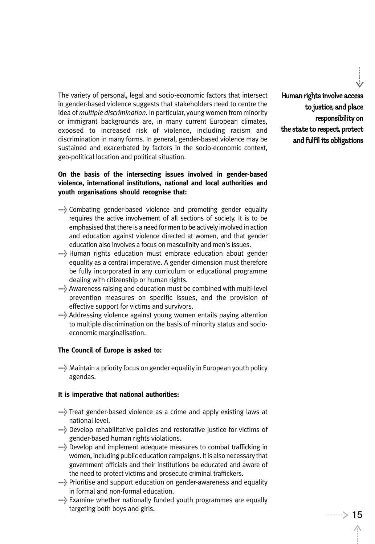The variety of personal, legal and socio-economic factors that intersect in gender-based violence suggests that stakeholders need to centre the idea of *multiple discrimination*. In particular, young women from minority or immigrant backgrounds are, in many current European climates, exposed to increased risk of violence, including racism and discrimination in many forms. In general, gender-based violence may be sustained and exacerbated by factors in the socio-economic context, geo-political location and political situation.

## **On the basis of the intersecting issues involved in gender-based violence, international institutions, national and local authorities and youth organisations should recognise that:**

- >Combating gender-based violence and promoting gender equality requires the active involvement of all sections of society. It is to be emphasised that there is a need for men to be actively involved in action and education against violence directed at women, and that gender education also involves a focus on masculinity and men's issues.
- >Human rights education must embrace education about gender equality as a central imperative. A gender dimension must therefore be fully incorporated in any curriculum or educational programme dealing with citizenship or human rights.
- >Awareness raising and education must be combined with multi-level prevention measures on specific issues, and the provision of effective support for victims and survivors.
- >Addressing violence against young women entails paying attention to multiple discrimination on the basis of minority status and socioeconomic marginalisation.

## **The Council of Europe is asked to:**

>Maintain a priority focus on gender equality in European youth policy agendas.

## **It is imperative that national authorities:**

- >Treat gender-based violence as a crime and apply existing laws at national level.
- >Develop rehabilitative policies and restorative justice for victims of gender-based human rights violations.
- >Develop and implement adequate measures to combat trafficking in women, including public education campaigns. It is also necessary that government officials and their institutions be educated and aware of the need to protect victims and prosecute criminal traffickers.
- >Prioritise and support education on gender-awareness and equality in formal and non-formal education.
- >Examine whether nationally funded youth programmes are equally targeting both boys and girls. The same state of the set of the set of the set of the set of the set of the set of the set of the set of the set of the set of the set of the set of the set of the set of the set of the set

Human rights involve access to justice, and place responsibility on the state to respect, protect and fulfil its obligations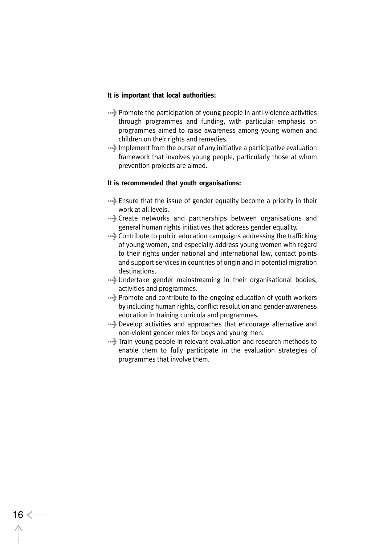#### **It is important that local authorities:**

- >Promote the participation of young people in anti-violence activities through programmes and funding, with particular emphasis on programmes aimed to raise awareness among young women and children on their rights and remedies.
- >Implement from the outset of any initiative a participative evaluation framework that involves young people, particularly those at whom prevention projects are aimed.

#### **It is recommended that youth organisations:**

- >Ensure that the issue of gender equality become a priority in their work at all levels.
- >Create networks and partnerships between organisations and general human rights initiatives that address gender equality.
- >Contribute to public education campaigns addressing the trafficking of young women, and especially address young women with regard to their rights under national and international law, contact points and support services in countries of origin and in potential migration destinations.
- >Undertake gender mainstreaming in their organisational bodies, activities and programmes.
- >Promote and contribute to the ongoing education of youth workers by including human rights, conflict resolution and gender-awareness education in training curricula and programmes.
- >Develop activities and approaches that encourage alternative and non-violent gender roles for boys and young men.
- \*\*\* Train young people in relevant evaluation and research methods to enable them to fully participate in the evaluation strategies of programmes that involve them.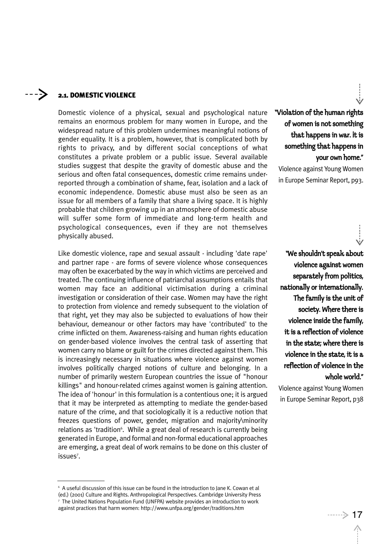#### ----> 2.1. DOMESTIC VIOLENCE

Domestic violence of a physical, sexual and psychological nature remains an enormous problem for many women in Europe, and the widespread nature of this problem undermines meaningful notions of gender equality. It is a problem, however, that is complicated both by rights to privacy, and by different social conceptions of what constitutes a private problem or a public issue. Several available studies suggest that despite the gravity of domestic abuse and the serious and often fatal consequences, domestic crime remains underreported through a combination of shame, fear, isolation and a lack of economic independence. Domestic abuse must also be seen as an issue for all members of a family that share a living space. It is highly probable that children growing up in an atmosphere of domestic abuse will suffer some form of immediate and long-term health and psychological consequences, even if they are not themselves physically abused.

Like domestic violence, rape and sexual assault - including 'date rape' and partner rape - are forms of severe violence whose consequences may often be exacerbated by the way in which victims are perceived and treated. The continuing influence of patriarchal assumptions entails that women may face an additional victimisation during a criminal investigation or consideration of their case. Women may have the right to protection from violence and remedy subsequent to the violation of that right, yet they may also be subjected to evaluations of how their behaviour, demeanour or other factors may have 'contributed' to the crime inflicted on them. Awareness-raising and human rights education on gender-based violence involves the central task of asserting that women carry no blame or guilt for the crimes directed against them. This is increasingly necessary in situations where violence against women involves politically charged notions of culture and belonging. In a number of primarily western European countries the issue of "honour killings" and honour-related crimes against women is gaining attention. The idea of 'honour' in this formulation is a contentious one; it is argued that it may be interpreted as attempting to mediate the gender-based nature of the crime, and that sociologically it is a reductive notion that freezes questions of power, gender, migration and majority\minority relations as 'tradition<sup>6</sup>. While a great deal of research is currently being generated in Europe, and formal and non-formal educational approaches are emerging, a great deal of work remains to be done on this cluster of issues<sup>7</sup>.

"Violation of the human rights of women is not something that happens in war. It is something that happens in your own home."

Violence against Young Women in Europe Seminar Report, p93.

"We shouldn't speak about violence against women separately from politics, nationally or internationally. The family is the unit of society. Where there is violence inside the family, it is a reflection of violence in the state; where there is violence in the state, it is a reflection of violence in the whole world."

Violence against Young Women in Europe Seminar Report, p38

<sup>6</sup> A useful discussion of this issue can be found in the introduction to Jane K. Cowan et al (ed.) (2001) Culture and Rights. Anthropological Perspectives. Cambridge University Press <sup>7</sup> The United Nations Population Fund (UNFPA) website provides an introduction to work against practices that harm women: http://www.unfpa.org/gender/traditions.htm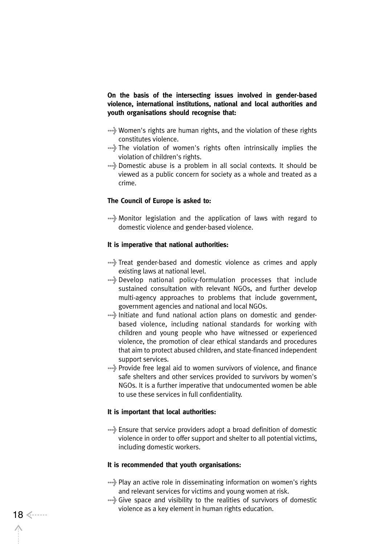**On the basis of the intersecting issues involved in gender-based violence, international institutions, national and local authorities and youth organisations should recognise that:**

- >Women's rights are human rights, and the violation of these rights constitutes violence.
- >The violation of women's rights often intrinsically implies the violation of children's rights.
- >Domestic abuse is a problem in all social contexts. It should be viewed as a public concern for society as a whole and treated as a crime.

### **The Council of Europe is asked to:**

>Monitor legislation and the application of laws with regard to domestic violence and gender-based violence.

#### **It is imperative that national authorities:**

- >Treat gender-based and domestic violence as crimes and apply existing laws at national level.
- >Develop national policy-formulation processes that include sustained consultation with relevant NGOs, and further develop multi-agency approaches to problems that include government, government agencies and national and local NGOs.
- >Initiate and fund national action plans on domestic and genderbased violence, including national standards for working with children and young people who have witnessed or experienced violence, the promotion of clear ethical standards and procedures that aim to protect abused children, and state-financed independent support services.
- >Provide free legal aid to women survivors of violence, and finance safe shelters and other services provided to survivors by women's NGOs. It is a further imperative that undocumented women be able to use these services in full confidentiality.

#### **It is important that local authorities:**

>Ensure that service providers adopt a broad definition of domestic violence in order to offer support and shelter to all potential victims, including domestic workers.

#### **It is recommended that youth organisations:**

- >Play an active role in disseminating information on women's rights and relevant services for victims and young women at risk.
- >Give space and visibility to the realities of survivors of domestic 18 <------<br>18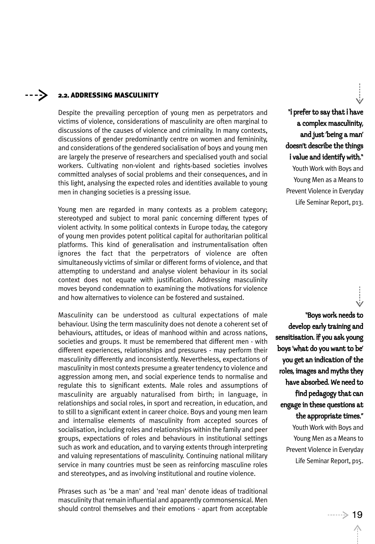#### ----> 2.2. ADDRESSING MASCULINITY

Despite the prevailing perception of young men as perpetrators and victims of violence, considerations of masculinity are often marginal to discussions of the causes of violence and criminality. In many contexts, discussions of gender predominantly centre on women and femininity, and considerations of the gendered socialisation of boys and young men are largely the preserve of researchers and specialised youth and social workers. Cultivating non-violent and rights-based societies involves committed analyses of social problems and their consequences, and in this light, analysing the expected roles and identities available to young men in changing societies is a pressing issue.

Young men are regarded in many contexts as a problem category; stereotyped and subject to moral panic concerning different types of violent activity. In some political contexts in Europe today, the category of young men provides potent political capital for authoritarian political platforms. This kind of generalisation and instrumentalisation often ignores the fact that the perpetrators of violence are often simultaneously victims of similar or different forms of violence, and that attempting to understand and analyse violent behaviour in its social context does not equate with justification. Addressing masculinity moves beyond condemnation to examining the motivations for violence and how alternatives to violence can be fostered and sustained.

Masculinity can be understood as cultural expectations of male behaviour. Using the term masculinity does not denote a coherent set of behaviours, attitudes, or ideas of manhood within and across nations, societies and groups. It must be remembered that different men - with different experiences, relationships and pressures - may perform their masculinity differently and inconsistently. Nevertheless, expectations of masculinity in most contexts presume a greater tendency to violence and aggression among men, and social experience tends to normalise and regulate this to significant extents. Male roles and assumptions of masculinity are arguably naturalised from birth; in language, in relationships and social roles, in sport and recreation, in education, and to still to a significant extent in career choice. Boys and young men learn and internalise elements of masculinity from accepted sources of socialisation, including roles and relationships within the family and peer groups, expectations of roles and behaviours in institutional settings such as work and education, and to varying extents through interpreting and valuing representations of masculinity. Continuing national military service in many countries must be seen as reinforcing masculine roles and stereotypes, and as involving institutional and routine violence.

Phrases such as 'be a man' and 'real man' denote ideas of traditional masculinity that remain influential and apparently commonsensical. Men should control themselves and their emotions - apart from acceptable<br>19

"I prefer to say that I have a complex masculinity, and just 'being a man' doesn't describe the things i value and identify with." Youth Work with Boys and Young Men as a Means to Prevent Violence in Everyday Life Seminar Report, p13.

"Boys work needs to develop early training and sensitisation. If you ask young boys 'what do you want to be' you get an indication of the roles, images and myths they have absorbed. We need to find pedagogy that can engage in these questions at the appropriate times." Youth Work with Boys and Young Men as a Means to Prevent Violence in Everyday Life Seminar Report, p15.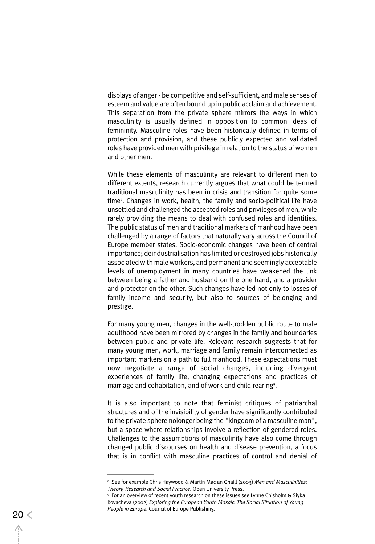displays of anger - be competitive and self-sufficient, and male senses of esteem and value are often bound up in public acclaim and achievement. This separation from the private sphere mirrors the ways in which masculinity is usually defined in opposition to common ideas of femininity. Masculine roles have been historically defined in terms of protection and provision, and these publicly expected and validated roles have provided men with privilege in relation to the status of women and other men.

While these elements of masculinity are relevant to different men to different extents, research currently argues that what could be termed traditional masculinity has been in crisis and transition for quite some time<sup>8</sup>. Changes in work, health, the family and socio-political life have unsettled and challenged the accepted roles and privileges of men, while rarely providing the means to deal with confused roles and identities. The public status of men and traditional markers of manhood have been challenged by a range of factors that naturally vary across the Council of Europe member states. Socio-economic changes have been of central importance; deindustrialisation has limited or destroyed jobs historically associated with male workers, and permanent and seemingly acceptable levels of unemployment in many countries have weakened the link between being a father and husband on the one hand, and a provider and protector on the other. Such changes have led not only to losses of family income and security, but also to sources of belonging and prestige.

For many young men, changes in the well-trodden public route to male adulthood have been mirrored by changes in the family and boundaries between public and private life. Relevant research suggests that for many young men, work, marriage and family remain interconnected as important markers on a path to full manhood. These expectations must now negotiate a range of social changes, including divergent experiences of family life, changing expectations and practices of marriage and cohabitation, and of work and child rearing<sup>9</sup>.

It is also important to note that feminist critiques of patriarchal structures and of the invisibility of gender have significantly contributed to the private sphere nolonger being the "kingdom of a masculine man", but a space where relationships involve a reflection of gendered roles. Challenges to the assumptions of masculinity have also come through changed public discourses on health and disease prevention, a focus that is in conflict with masculine practices of control and denial of

<sup>8</sup> See for example Chris Haywood & Martin Mac an Ghaill (2003) *Men and Masculinities: Theory, Research and Social Practice*. Open University Press.<br><sup>9</sup> For an overview of recent youth research on these issues see Lynne Chisholm & Siyka

Kovacheva (2002) *Exploring the European Youth Mosaic. The Social Situation of Young People in Europe*. Council of Europe Publishing.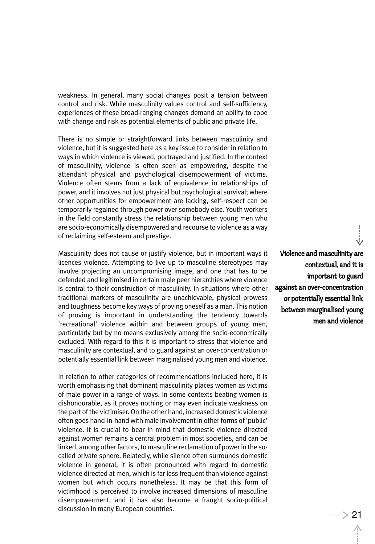weakness. In general, many social changes posit a tension between control and risk. While masculinity values control and self-sufficiency, experiences of these broad-ranging changes demand an ability to cope with change and risk as potential elements of public and private life.

There is no simple or straightforward links between masculinity and violence, but it is suggested here as a key issue to consider in relation to ways in which violence is viewed, portrayed and justified. In the context of masculinity, violence is often seen as empowering, despite the attendant physical and psychological disempowerment of victims. Violence often stems from a lack of equivalence in relationships of power, and it involves not just physical but psychological survival; where other opportunities for empowerment are lacking, self-respect can be temporarily regained through power over somebody else. Youth workers in the field constantly stress the relationship between young men who are socio-economically disempowered and recourse to violence as a way of reclaiming self-esteem and prestige.

Masculinity does not cause or justify violence, but in important ways it licences violence. Attempting to live up to masculine stereotypes may involve projecting an uncompromising image, and one that has to be defended and legitimised in certain male peer hierarchies where violence is central to their construction of masculinity. In situations where other traditional markers of masculinity are unachievable, physical prowess and toughness become key ways of proving oneself as a man. This notion of proving is important in understanding the tendency towards 'recreational' violence within and between groups of young men, particularly but by no means exclusively among the socio-economically excluded. With regard to this it is important to stress that violence and masculinity are contextual, and to guard against an over-concentration or potentially essential link between marginalised young men and violence.

In relation to other categories of recommendations included here, it is worth emphasising that dominant masculinity places women as victims of male power in a range of ways. In some contexts beating women is dishonourable, as it proves nothing or may even indicate weakness on the part of the victimiser. On the other hand, increased domestic violence often goes hand-in-hand with male involvement in other forms of 'public' violence. It is crucial to bear in mind that domestic violence directed against women remains a central problem in most societies, and can be linked, among other factors, to masculine reclamation of power in the socalled private sphere. Relatedly, while silence often surrounds domestic violence in general, it is often pronounced with regard to domestic violence directed at men, which is far less frequent than violence against women but which occurs nonetheless. It may be that this form of victimhood is perceived to involve increased dimensions of masculine disempowerment, and it has also become a fraught socio-political discussion in many European countries. <sup>21</sup>

Violence and masculinity are contextual, and it is important to guard against an over-concentration or potentially essential link between marginalised young men and violence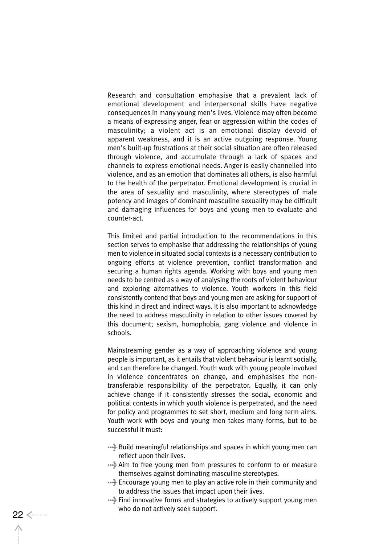Research and consultation emphasise that a prevalent lack of emotional development and interpersonal skills have negative consequences in many young men's lives. Violence may often become a means of expressing anger, fear or aggression within the codes of masculinity; a violent act is an emotional display devoid of apparent weakness, and it is an active outgoing response. Young men's built-up frustrations at their social situation are often released through violence, and accumulate through a lack of spaces and channels to express emotional needs. Anger is easily channelled into violence, and as an emotion that dominates all others, is also harmful to the health of the perpetrator. Emotional development is crucial in the area of sexuality and masculinity, where stereotypes of male potency and images of dominant masculine sexuality may be difficult and damaging influences for boys and young men to evaluate and counter-act.

This limited and partial introduction to the recommendations in this section serves to emphasise that addressing the relationships of young men to violence in situated social contexts is a necessary contribution to ongoing efforts at violence prevention, conflict transformation and securing a human rights agenda. Working with boys and young men needs to be centred as a way of analysing the roots of violent behaviour and exploring alternatives to violence. Youth workers in this field consistently contend that boys and young men are asking for support of this kind in direct and indirect ways. It is also important to acknowledge the need to address masculinity in relation to other issues covered by this document; sexism, homophobia, gang violence and violence in schools.

Mainstreaming gender as a way of approaching violence and young people is important, as it entails that violent behaviour is learnt socially, and can therefore be changed. Youth work with young people involved in violence concentrates on change, and emphasises the nontransferable responsibility of the perpetrator. Equally, it can only achieve change if it consistently stresses the social, economic and political contexts in which youth violence is perpetrated, and the need for policy and programmes to set short, medium and long term aims. Youth work with boys and young men takes many forms, but to be successful it must:

- >Build meaningful relationships and spaces in which young men can reflect upon their lives.
- >Aim to free young men from pressures to conform to or measure themselves against dominating masculine stereotypes.
- >Encourage young men to play an active role in their community and to address the issues that impact upon their lives.
- >Find innovative forms and strategies to actively support young men 22 <------<br>22 <------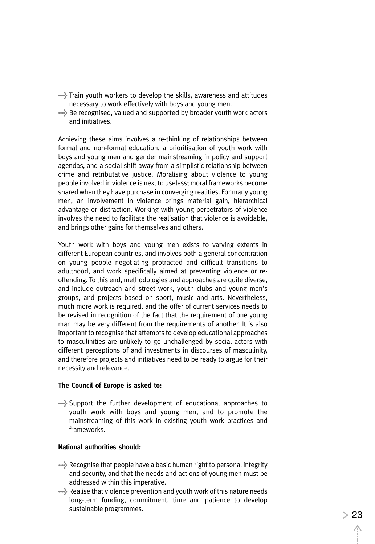- >Train youth workers to develop the skills, awareness and attitudes necessary to work effectively with boys and young men.
- >Be recognised, valued and supported by broader youth work actors and initiatives.

Achieving these aims involves a re-thinking of relationships between formal and non-formal education, a prioritisation of youth work with boys and young men and gender mainstreaming in policy and support agendas, and a social shift away from a simplistic relationship between crime and retributative justice. Moralising about violence to young people involved in violence is next to useless; moral frameworks become shared when they have purchase in converging realities. For many young men, an involvement in violence brings material gain, hierarchical advantage or distraction. Working with young perpetrators of violence involves the need to facilitate the realisation that violence is avoidable, and brings other gains for themselves and others.

Youth work with boys and young men exists to varying extents in different European countries, and involves both a general concentration on young people negotiating protracted and difficult transitions to adulthood, and work specifically aimed at preventing violence or reoffending. To this end, methodologies and approaches are quite diverse, and include outreach and street work, youth clubs and young men's groups, and projects based on sport, music and arts. Nevertheless, much more work is required, and the offer of current services needs to be revised in recognition of the fact that the requirement of one young man may be very different from the requirements of another. It is also important to recognise that attempts to develop educational approaches to masculinities are unlikely to go unchallenged by social actors with different perceptions of and investments in discourses of masculinity, and therefore projects and initiatives need to be ready to argue for their necessity and relevance.

#### **The Council of Europe is asked to:**

>Support the further development of educational approaches to youth work with boys and young men, and to promote the mainstreaming of this work in existing youth work practices and frameworks.

### **National authorities should:**

- >Recognise that people have a basic human right to personal integrity and security, and that the needs and actions of young men must be addressed within this imperative.
- >Realise that violence prevention and youth work of this nature needs long-term funding, commitment, time and patience to develop sustainable programmes.<br>
23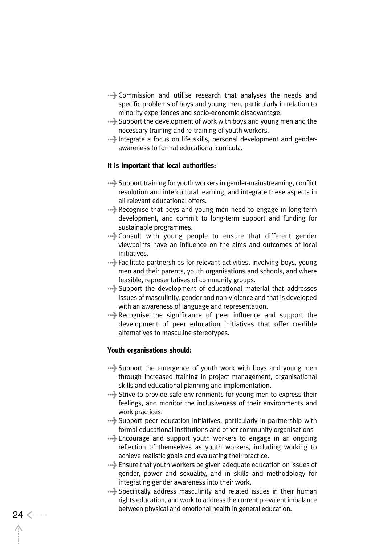- >Commission and utilise research that analyses the needs and specific problems of boys and young men, particularly in relation to minority experiences and socio-economic disadvantage.
- >Support the development of work with boys and young men and the necessary training and re-training of youth workers.
- >Integrate a focus on life skills, personal development and genderawareness to formal educational curricula.

### **It is important that local authorities:**

- >Support training for youth workers in gender-mainstreaming, conflict resolution and intercultural learning, and integrate these aspects in all relevant educational offers.
- >Recognise that boys and young men need to engage in long-term development, and commit to long-term support and funding for sustainable programmes.
- >Consult with young people to ensure that different gender viewpoints have an influence on the aims and outcomes of local initiatives.
- >Facilitate partnerships for relevant activities, involving boys, young men and their parents, youth organisations and schools, and where feasible, representatives of community groups.
- >Support the development of educational material that addresses issues of masculinity, gender and non-violence and that is developed with an awareness of language and representation.
- >Recognise the significance of peer influence and support the development of peer education initiatives that offer credible alternatives to masculine stereotypes.

### **Youth organisations should:**

- >Support the emergence of youth work with boys and young men through increased training in project management, organisational skills and educational planning and implementation.
- >Strive to provide safe environments for young men to express their feelings, and monitor the inclusiveness of their environments and work practices.
- >Support peer education initiatives, particularly in partnership with formal educational institutions and other community organisations
- >Encourage and support youth workers to engage in an ongoing reflection of themselves as youth workers, including working to achieve realistic goals and evaluating their practice.
- >Ensure that youth workers be given adequate education on issues of gender, power and sexuality, and in skills and methodology for integrating gender awareness into their work.
- >Specifically address masculinity and related issues in their human rights education, and work to address the current prevalent imbalance between physical and emotional health in general education. 24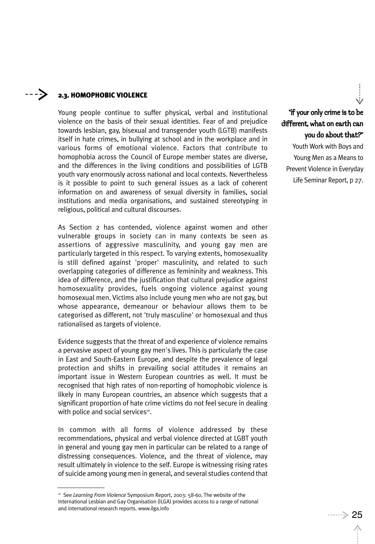#### ----> 2.3. HOMOPHOBIC VIOLENCE

Young people continue to suffer physical, verbal and institutional violence on the basis of their sexual identities. Fear of and prejudice towards lesbian, gay, bisexual and transgender youth (LGTB) manifests itself in hate crimes, in bullying at school and in the workplace and in various forms of emotional violence. Factors that contribute to homophobia across the Council of Europe member states are diverse, and the differences in the living conditions and possibilities of LGTB youth vary enormously across national and local contexts. Nevertheless is it possible to point to such general issues as a lack of coherent information on and awareness of sexual diversity in families, social institutions and media organisations, and sustained stereotyping in religious, political and cultural discourses.

As Section 2 has contended, violence against women and other vulnerable groups in society can in many contexts be seen as assertions of aggressive masculinity, and young gay men are particularly targeted in this respect. To varying extents, homosexuality is still defined against 'proper' masculinity, and related to such overlapping categories of difference as femininity and weakness. This idea of difference, and the justification that cultural prejudice against homosexuality provides, fuels ongoing violence against young homosexual men. Victims also include young men who are not gay, but whose appearance, demeanour or behaviour allows them to be categorised as different, not 'truly masculine' or homosexual and thus rationalised as targets of violence.

Evidence suggests that the threat of and experience of violence remains a pervasive aspect of young gay men's lives. This is particularly the case in East and South-Eastern Europe, and despite the prevalence of legal protection and shifts in prevailing social attitudes it remains an important issue in Western European countries as well. It must be recognised that high rates of non-reporting of homophobic violence is likely in many European countries, an absence which suggests that a significant proportion of hate crime victims do not feel secure in dealing with police and social services<sup>10</sup>.

In common with all forms of violence addressed by these recommendations, physical and verbal violence directed at LGBT youth in general and young gay men in particular can be related to a range of distressing consequences. Violence, and the threat of violence, may result ultimately in violence to the self. Europe is witnessing rising rates of suicide among young men in general, and several studies contend that

"If your only crime is to be different, what on earth can

you do about that?" Youth Work with Boys and Young Men as a Means to Prevent Violence in Everyday Life Seminar Report, p 27.

<sup>10</sup> See *Learning From Violence* Symposium Report, 2003: 58-60. The website of the International Lesbian and Gay Organisation (ILGA) provides access to a range of national and international research reports. www.ilga.info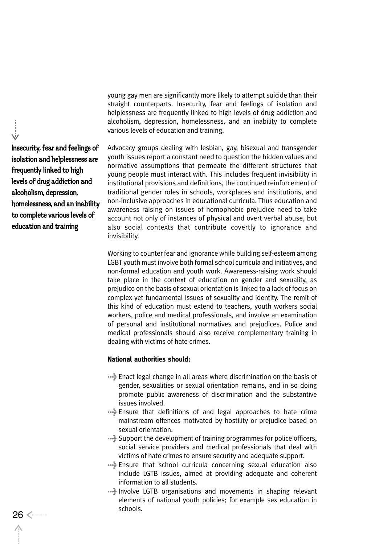young gay men are significantly more likely to attempt suicide than their straight counterparts. Insecurity, fear and feelings of isolation and helplessness are frequently linked to high levels of drug addiction and alcoholism, depression, homelessness, and an inability to complete various levels of education and training.

Advocacy groups dealing with lesbian, gay, bisexual and transgender youth issues report a constant need to question the hidden values and normative assumptions that permeate the different structures that young people must interact with. This includes frequent invisibility in institutional provisions and definitions, the continued reinforcement of traditional gender roles in schools, workplaces and institutions, and non-inclusive approaches in educational curricula. Thus education and awareness raising on issues of homophobic prejudice need to take account not only of instances of physical and overt verbal abuse, but also social contexts that contribute covertly to ignorance and invisibility.

Working to counter fear and ignorance while building self-esteem among LGBT youth must involve both formal school curricula and initiatives, and non-formal education and youth work. Awareness-raising work should take place in the context of education on gender and sexuality, as prejudice on the basis of sexual orientation is linked to a lack of focus on complex yet fundamental issues of sexuality and identity. The remit of this kind of education must extend to teachers, youth workers social workers, police and medical professionals, and involve an examination of personal and institutional normatives and prejudices. Police and medical professionals should also receive complementary training in dealing with victims of hate crimes.

#### **National authorities should:**

- >Enact legal change in all areas where discrimination on the basis of gender, sexualities or sexual orientation remains, and in so doing promote public awareness of discrimination and the substantive issues involved.
- >Ensure that definitions of and legal approaches to hate crime mainstream offences motivated by hostility or prejudice based on sexual orientation.
- >Support the development of training programmes for police officers, social service providers and medical professionals that deal with victims of hate crimes to ensure security and adequate support.
- >Ensure that school curricula concerning sexual education also include LGTB issues, aimed at providing adequate and coherent information to all students.
- >Involve LGTB organisations and movements in shaping relevant elements of national youth policies; for example sex education in schools.

insecurity, fear and feelings of isolation and helplessness are frequently linked to high levels of drug addiction and alcoholism, depression, homelessness, and an inability to complete various levels of education and training

26 <-----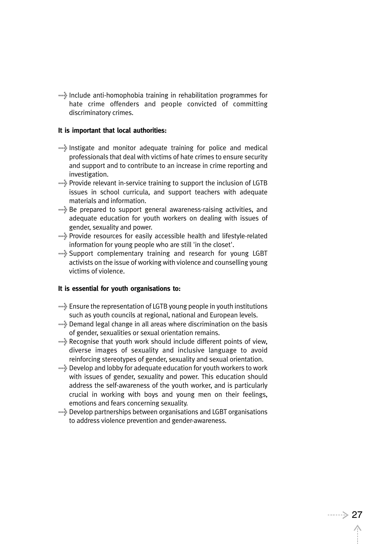>Include anti-homophobia training in rehabilitation programmes for hate crime offenders and people convicted of committing discriminatory crimes.

#### **It is important that local authorities:**

- >Instigate and monitor adequate training for police and medical professionals that deal with victims of hate crimes to ensure security and support and to contribute to an increase in crime reporting and investigation.
- >Provide relevant in-service training to support the inclusion of LGTB issues in school curricula, and support teachers with adequate materials and information.
- >Be prepared to support general awareness-raising activities, and adequate education for youth workers on dealing with issues of gender, sexuality and power.
- >Provide resources for easily accessible health and lifestyle-related information for young people who are still 'in the closet'.
- >Support complementary training and research for young LGBT activists on the issue of working with violence and counselling young victims of violence.

### **It is essential for youth organisations to:**

- >Ensure the representation of LGTB young people in youth institutions such as youth councils at regional, national and European levels.
- >Demand legal change in all areas where discrimination on the basis of gender, sexualities or sexual orientation remains.
- >Recognise that youth work should include different points of view, diverse images of sexuality and inclusive language to avoid reinforcing stereotypes of gender, sexuality and sexual orientation.
- >Develop and lobby for adequate education for youth workers to work with issues of gender, sexuality and power. This education should address the self-awareness of the youth worker, and is particularly crucial in working with boys and young men on their feelings, emotions and fears concerning sexuality.
- >Develop partnerships between organisations and LGBT organisations to address violence prevention and gender-awareness.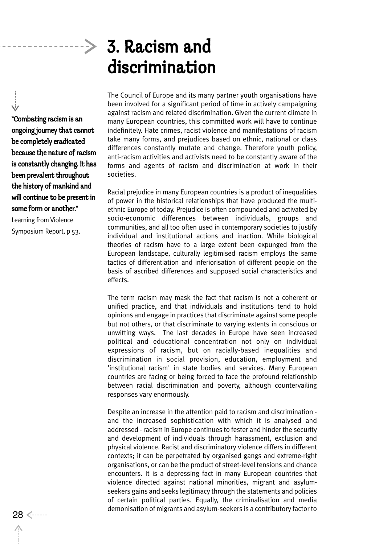# 3. Racism and discrimination

"Combating racism is an ongoing journey that cannot be completely eradicated because the nature of racism is constantly changing. It has been prevalent throughout the history of mankind and will continue to be present in some form or another."

Learning from Violence Symposium Report, p 53. The Council of Europe and its many partner youth organisations have been involved for a significant period of time in actively campaigning against racism and related discrimination. Given the current climate in many European countries, this committed work will have to continue indefinitely. Hate crimes, racist violence and manifestations of racism take many forms, and prejudices based on ethnic, national or class differences constantly mutate and change. Therefore youth policy, anti-racism activities and activists need to be constantly aware of the forms and agents of racism and discrimination at work in their societies.

Racial prejudice in many European countries is a product of inequalities of power in the historical relationships that have produced the multiethnic Europe of today. Prejudice is often compounded and activated by socio-economic differences between individuals, groups and communities, and all too often used in contemporary societies to justify individual and institutional actions and inaction. While biological theories of racism have to a large extent been expunged from the European landscape, culturally legitimised racism employs the same tactics of differentiation and inferiorisation of different people on the basis of ascribed differences and supposed social characteristics and effects.

The term racism may mask the fact that racism is not a coherent or unified practice, and that individuals and institutions tend to hold opinions and engage in practices that discriminate against some people but not others, or that discriminate to varying extents in conscious or unwitting ways. The last decades in Europe have seen increased political and educational concentration not only on individual expressions of racism, but on racially-based inequalities and discrimination in social provision, education, employment and 'institutional racism' in state bodies and services. Many European countries are facing or being forced to face the profound relationship between racial discrimination and poverty, although countervailing responses vary enormously.

Despite an increase in the attention paid to racism and discrimination and the increased sophistication with which it is analysed and addressed - racism in Europe continues to fester and hinder the security and development of individuals through harassment, exclusion and physical violence. Racist and discriminatory violence differs in different contexts; it can be perpetrated by organised gangs and extreme-right organisations, or can be the product of street-level tensions and chance encounters. It is a depressing fact in many European countries that violence directed against national minorities, migrant and asylumseekers gains and seeks legitimacy through the statements and policies of certain political parties. Equally, the criminalisation and media demonisation of migrants and asylum-seekers is a contributory factor to <sup>28</sup>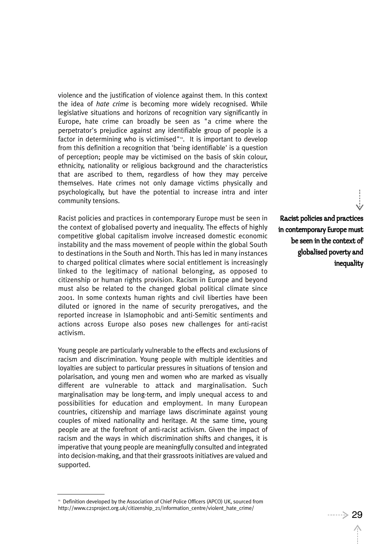violence and the justification of violence against them. In this context the idea of *hate crime* is becoming more widely recognised. While legislative situations and horizons of recognition vary significantly in Europe, hate crime can broadly be seen as "a crime where the perpetrator's prejudice against any identifiable group of people is a factor in determining who is victimised" $n$ . It is important to develop from this definition a recognition that 'being identifiable' is a question of perception; people may be victimised on the basis of skin colour, ethnicity, nationality or religious background and the characteristics that are ascribed to them, regardless of how they may perceive themselves. Hate crimes not only damage victims physically and psychologically, but have the potential to increase intra and inter community tensions.

Racist policies and practices in contemporary Europe must be seen in the context of globalised poverty and inequality. The effects of highly competitive global capitalism involve increased domestic economic instability and the mass movement of people within the global South to destinations in the South and North. This has led in many instances to charged political climates where social entitlement is increasingly linked to the legitimacy of national belonging, as opposed to citizenship or human rights provision. Racism in Europe and beyond must also be related to the changed global political climate since 2001. In some contexts human rights and civil liberties have been diluted or ignored in the name of security prerogatives, and the reported increase in Islamophobic and anti-Semitic sentiments and actions across Europe also poses new challenges for anti-racist activism.

Young people are particularly vulnerable to the effects and exclusions of racism and discrimination. Young people with multiple identities and loyalties are subject to particular pressures in situations of tension and polarisation, and young men and women who are marked as visually different are vulnerable to attack and marginalisation. Such marginalisation may be long-term, and imply unequal access to and possibilities for education and employment. In many European countries, citizenship and marriage laws discriminate against young couples of mixed nationality and heritage. At the same time, young people are at the forefront of anti-racist activism. Given the impact of racism and the ways in which discrimination shifts and changes, it is imperative that young people are meaningfully consulted and integrated into decision-making, and that their grassroots initiatives are valued and supported.

Racist policies and practices in contemporary Europe must be seen in the context of globalised poverty and inequality

<sup>&</sup>lt;sup>11</sup> Definition developed by the Association of Chief Police Officers (APCO) UK, sourced from http://www.c21project.org.uk/citizenship\_21/information\_centre/violent\_hate\_crime/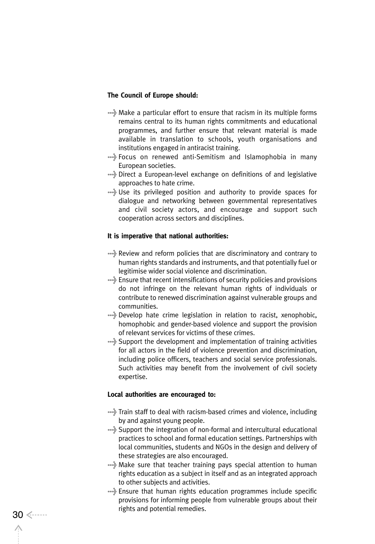#### **The Council of Europe should:**

- >Make a particular effort to ensure that racism in its multiple forms remains central to its human rights commitments and educational programmes, and further ensure that relevant material is made available in translation to schools, youth organisations and institutions engaged in antiracist training.
- >Focus on renewed anti-Semitism and Islamophobia in many European societies.
- >Direct a European-level exchange on definitions of and legislative approaches to hate crime.
- >Use its privileged position and authority to provide spaces for dialogue and networking between governmental representatives and civil society actors, and encourage and support such cooperation across sectors and disciplines.

#### **It is imperative that national authorities:**

- >Review and reform policies that are discriminatory and contrary to human rights standards and instruments, and that potentially fuel or legitimise wider social violence and discrimination.
- >Ensure that recent intensifications of security policies and provisions do not infringe on the relevant human rights of individuals or contribute to renewed discrimination against vulnerable groups and communities.
- >Develop hate crime legislation in relation to racist, xenophobic, homophobic and gender-based violence and support the provision of relevant services for victims of these crimes.
- >Support the development and implementation of training activities for all actors in the field of violence prevention and discrimination, including police officers, teachers and social service professionals. Such activities may benefit from the involvement of civil society expertise.

#### **Local authorities are encouraged to:**

- $\rightarrow$  Train staff to deal with racism-based crimes and violence, including by and against young people.
- >Support the integration of non-formal and intercultural educational practices to school and formal education settings. Partnerships with local communities, students and NGOs in the design and delivery of these strategies are also encouraged.
- >Make sure that teacher training pays special attention to human rights education as a subject in itself and as an integrated approach to other subjects and activities.
- >Ensure that human rights education programmes include specific provisions for informing people from vulnerable groups about their rights and potential remedies. 30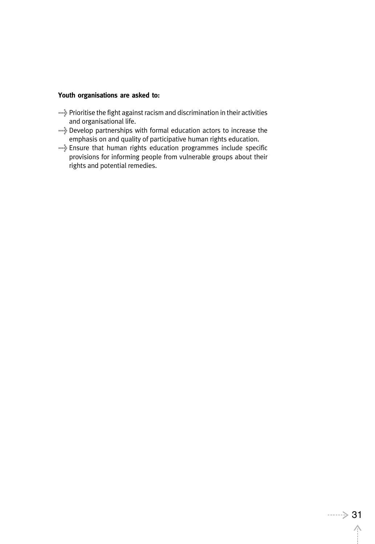## **Youth organisations are asked to:**

- >Prioritise the fight against racism and discrimination in their activities and organisational life.
- >Develop partnerships with formal education actors to increase the emphasis on and quality of participative human rights education.
- >Ensure that human rights education programmes include specific provisions for informing people from vulnerable groups about their rights and potential remedies.

 $\wedge$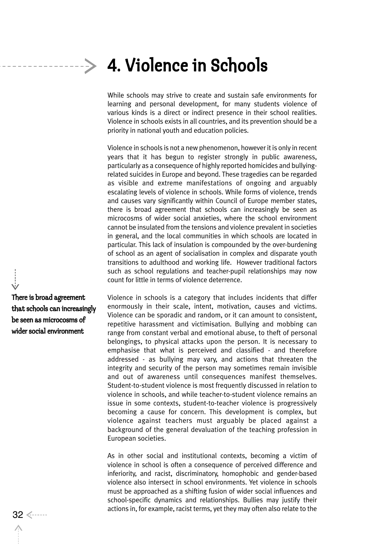While schools may strive to create and sustain safe environments for learning and personal development, for many students violence of various kinds is a direct or indirect presence in their school realities. Violence in schools exists in all countries, and its prevention should be a priority in national youth and education policies.

Violence in schools is not a new phenomenon, however it is only in recent years that it has begun to register strongly in public awareness, particularly as a consequence of highly reported homicides and bullyingrelated suicides in Europe and beyond. These tragedies can be regarded as visible and extreme manifestations of ongoing and arguably escalating levels of violence in schools. While forms of violence, trends and causes vary significantly within Council of Europe member states, there is broad agreement that schools can increasingly be seen as microcosms of wider social anxieties, where the school environment cannot be insulated from the tensions and violence prevalent in societies in general, and the local communities in which schools are located in particular. This lack of insulation is compounded by the over-burdening of school as an agent of socialisation in complex and disparate youth transitions to adulthood and working life. However traditional factors such as school regulations and teacher-pupil relationships may now count for little in terms of violence deterrence.

Violence in schools is a category that includes incidents that differ enormously in their scale, intent, motivation, causes and victims. Violence can be sporadic and random, or it can amount to consistent, repetitive harassment and victimisation. Bullying and mobbing can range from constant verbal and emotional abuse, to theft of personal belongings, to physical attacks upon the person. It is necessary to emphasise that what is perceived and classified - and therefore addressed - as bullying may vary, and actions that threaten the integrity and security of the person may sometimes remain invisible and out of awareness until consequences manifest themselves. Student-to-student violence is most frequently discussed in relation to violence in schools, and while teacher-to-student violence remains an issue in some contexts, student-to-teacher violence is progressively becoming a cause for concern. This development is complex, but violence against teachers must arguably be placed against a background of the general devaluation of the teaching profession in European societies.

As in other social and institutional contexts, becoming a victim of violence in school is often a consequence of perceived difference and inferiority, and racist, discriminatory, homophobic and gender-based violence also intersect in school environments. Yet violence in schools must be approached as a shifting fusion of wider social influences and school-specific dynamics and relationships. Bullies may justify their actions in, for example, racist terms, yet they may often also relate to the 32

There is broad agreement that schools can increasingly be seen as microcosms of wider social environment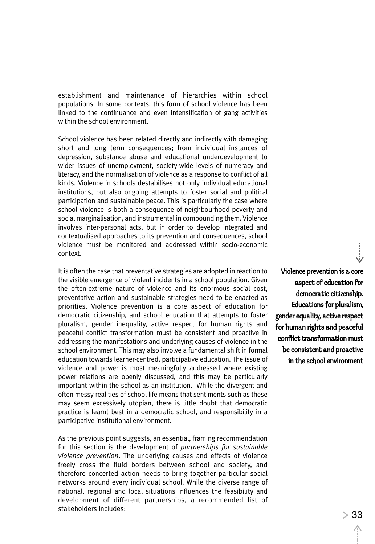establishment and maintenance of hierarchies within school populations. In some contexts, this form of school violence has been linked to the continuance and even intensification of gang activities within the school environment.

School violence has been related directly and indirectly with damaging short and long term consequences; from individual instances of depression, substance abuse and educational underdevelopment to wider issues of unemployment, society-wide levels of numeracy and literacy, and the normalisation of violence as a response to conflict of all kinds. Violence in schools destabilises not only individual educational institutions, but also ongoing attempts to foster social and political participation and sustainable peace. This is particularly the case where school violence is both a consequence of neighbourhood poverty and social marginalisation, and instrumental in compounding them. Violence involves inter-personal acts, but in order to develop integrated and contextualised approaches to its prevention and consequences, school violence must be monitored and addressed within socio-economic context.

It is often the case that preventative strategies are adopted in reaction to the visible emergence of violent incidents in a school population. Given the often-extreme nature of violence and its enormous social cost, preventative action and sustainable strategies need to be enacted as priorities. Violence prevention is a core aspect of education for democratic citizenship, and school education that attempts to foster pluralism, gender inequality, active respect for human rights and peaceful conflict transformation must be consistent and proactive in addressing the manifestations and underlying causes of violence in the school environment. This may also involve a fundamental shift in formal education towards learner-centred, participative education. The issue of violence and power is most meaningfully addressed where existing power relations are openly discussed, and this may be particularly important within the school as an institution. While the divergent and often messy realities of school life means that sentiments such as these may seem excessively utopian, there is little doubt that democratic practice is learnt best in a democratic school, and responsibility in a participative institutional environment.

As the previous point suggests, an essential, framing recommendation for this section is the development of *partnerships for sustainable violence prevention*. The underlying causes and effects of violence freely cross the fluid borders between school and society, and therefore concerted action needs to bring together particular social networks around every individual school. While the diverse range of national, regional and local situations influences the feasibility and development of different partnerships, a recommended list of stakeholders includes:

Violence prevention is a core aspect of education for democratic citizenship. Educations for pluralism, gender equality, active respect for human rights and peaceful conflict transformation must be consistent and proactive in the school environment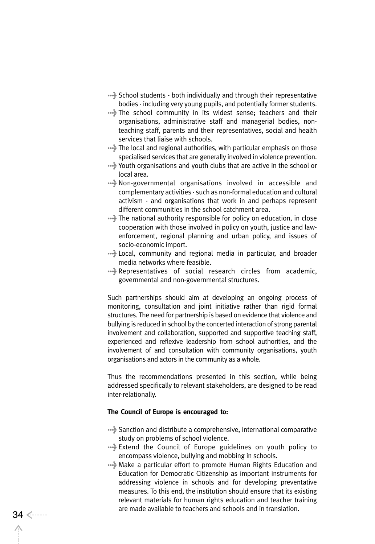- >School students both individually and through their representative bodies - including very young pupils, and potentially former students.
- ....} The school community in its widest sense; teachers and their organisations, administrative staff and managerial bodies, nonteaching staff, parents and their representatives, social and health services that liaise with schools.
- \*\*\* The local and regional authorities, with particular emphasis on those specialised services that are generally involved in violence prevention.
- >Youth organisations and youth clubs that are active in the school or local area.
- >Non-governmental organisations involved in accessible and complementary activities - such as non-formal education and cultural activism - and organisations that work in and perhaps represent different communities in the school catchment area.
- >The national authority responsible for policy on education, in close cooperation with those involved in policy on youth, justice and lawenforcement, regional planning and urban policy, and issues of socio-economic import.
- >Local, community and regional media in particular, and broader media networks where feasible.
- >Representatives of social research circles from academic, governmental and non-governmental structures.

Such partnerships should aim at developing an ongoing process of monitoring, consultation and joint initiative rather than rigid formal structures. The need for partnership is based on evidence that violence and bullying is reduced in school by the concerted interaction of strong parental involvement and collaboration, supported and supportive teaching staff, experienced and reflexive leadership from school authorities, and the involvement of and consultation with community organisations, youth organisations and actors in the community as a whole.

Thus the recommendations presented in this section, while being addressed specifically to relevant stakeholders, are designed to be read inter-relationally.

### **The Council of Europe is encouraged to:**

- >Sanction and distribute a comprehensive, international comparative study on problems of school violence.
- >Extend the Council of Europe guidelines on youth policy to encompass violence, bullying and mobbing in schools.
- >Make a particular effort to promote Human Rights Education and Education for Democratic Citizenship as important instruments for addressing violence in schools and for developing preventative measures. To this end, the institution should ensure that its existing relevant materials for human rights education and teacher training are made available to teachers and schools and in translation.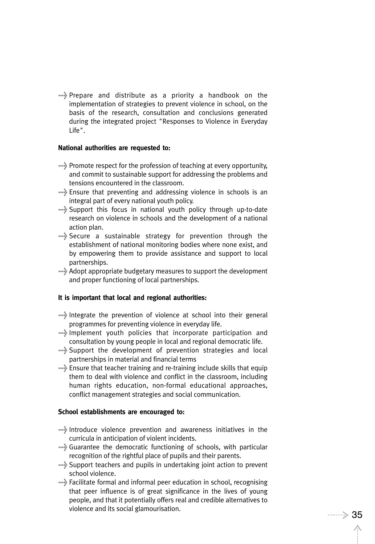>Prepare and distribute as a priority a handbook on the implementation of strategies to prevent violence in school, on the basis of the research, consultation and conclusions generated during the integrated project "Responses to Violence in Everyday Life".

#### **National authorities are requested to:**

- >Promote respect for the profession of teaching at every opportunity, and commit to sustainable support for addressing the problems and tensions encountered in the classroom.
- >Ensure that preventing and addressing violence in schools is an integral part of every national youth policy.
- >Support this focus in national youth policy through up-to-date research on violence in schools and the development of a national action plan.
- >Secure a sustainable strategy for prevention through the establishment of national monitoring bodies where none exist, and by empowering them to provide assistance and support to local partnerships.
- >Adopt appropriate budgetary measures to support the development and proper functioning of local partnerships.

#### **It is important that local and regional authorities:**

- >Integrate the prevention of violence at school into their general programmes for preventing violence in everyday life.
- >Implement youth policies that incorporate participation and consultation by young people in local and regional democratic life.
- >Support the development of prevention strategies and local partnerships in material and financial terms
- >Ensure that teacher training and re-training include skills that equip them to deal with violence and conflict in the classroom, including human rights education, non-formal educational approaches, conflict management strategies and social communication.

#### **School establishments are encouraged to:**

- >Introduce violence prevention and awareness initiatives in the curricula in anticipation of violent incidents.
- >Guarantee the democratic functioning of schools, with particular recognition of the rightful place of pupils and their parents.
- >Support teachers and pupils in undertaking joint action to prevent school violence.
- >Facilitate formal and informal peer education in school, recognising that peer influence is of great significance in the lives of young people, and that it potentially offers real and credible alternatives to violence and its social glamourisation.<br>
35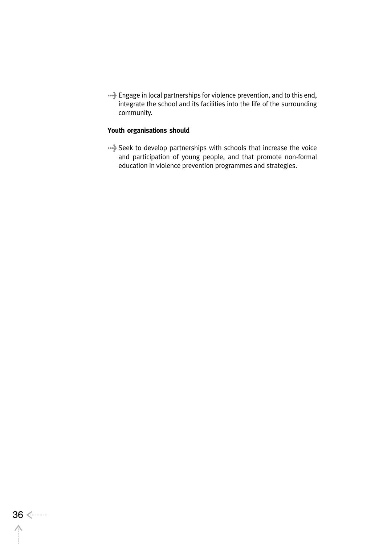>Engage in local partnerships for violence prevention, and to this end, integrate the school and its facilities into the life of the surrounding community.

## **Youth organisations should**

>Seek to develop partnerships with schools that increase the voice and participation of young people, and that promote non-formal education in violence prevention programmes and strategies.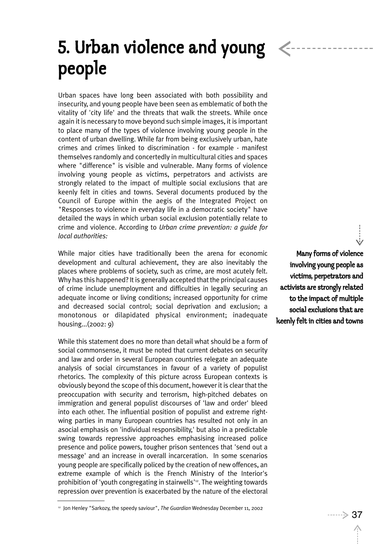# 5. Urban violence and young people

Urban spaces have long been associated with both possibility and insecurity, and young people have been seen as emblematic of both the vitality of 'city life' and the threats that walk the streets. While once again it is necessary to move beyond such simple images, it is important to place many of the types of violence involving young people in the content of urban dwelling. While far from being exclusively urban, hate crimes and crimes linked to discrimination - for example - manifest themselves randomly and concertedly in multicultural cities and spaces where "difference" is visible and vulnerable. Many forms of violence involving young people as victims, perpetrators and activists are strongly related to the impact of multiple social exclusions that are keenly felt in cities and towns. Several documents produced by the Council of Europe within the aegis of the Integrated Project on "Responses to violence in everyday life in a democratic society" have detailed the ways in which urban social exclusion potentially relate to crime and violence. According to *Urban crime prevention: a guide for local authorities:*

While major cities have traditionally been the arena for economic development and cultural achievement, they are also inevitably the places where problems of society, such as crime, are most acutely felt. Why has this happened? It is generally accepted that the principal causes of crime include unemployment and difficulties in legally securing an adequate income or living conditions; increased opportunity for crime and decreased social control; social deprivation and exclusion; a monotonous or dilapidated physical environment; inadequate housing...(2002: 9)

While this statement does no more than detail what should be a form of social commonsense, it must be noted that current debates on security and law and order in several European countries relegate an adequate analysis of social circumstances in favour of a variety of populist rhetorics. The complexity of this picture across European contexts is obviously beyond the scope of this document, however it is clear that the preoccupation with security and terrorism, high-pitched debates on immigration and general populist discourses of 'law and order' bleed into each other. The influential position of populist and extreme rightwing parties in many European countries has resulted not only in an asocial emphasis on 'individual responsibility,' but also in a predictable swing towards repressive approaches emphasising increased police presence and police powers, tougher prison sentences that 'send out a message' and an increase in overall incarceration. In some scenarios young people are specifically policed by the creation of new offences, an extreme example of which is the French Ministry of the Interior's prohibition of 'youth congregating in stairwells'<sup>12</sup>. The weighting towards repression over prevention is exacerbated by the nature of the electoral

Many forms of violence involving young people as victims, perpetrators and activists are strongly related to the impact of multiple social exclusions that are keenly felt in cities and towns

<sup>12</sup> Jon Henley "Sarkozy, the speedy saviour", *The Guardian* Wednesday December 11, 2002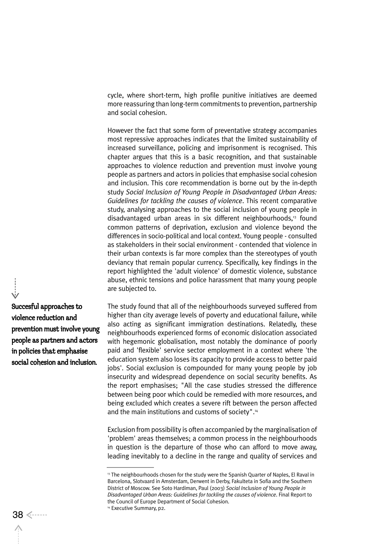cycle, where short-term, high profile punitive initiatives are deemed more reassuring than long-term commitments to prevention, partnership and social cohesion.

However the fact that some form of preventative strategy accompanies most repressive approaches indicates that the limited sustainability of increased surveillance, policing and imprisonment is recognised. This chapter argues that this is a basic recognition, and that sustainable approaches to violence reduction and prevention must involve young people as partners and actors in policies that emphasise social cohesion and inclusion. This core recommendation is borne out by the in-depth study *Social Inclusion of Young People in Disadvantaged Urban Areas: Guidelines for tackling the causes of violence*. This recent comparative study, analysing approaches to the social inclusion of young people in disadvantaged urban areas in six different neighbourhoods,<sup>13</sup> found common patterns of deprivation, exclusion and violence beyond the differences in socio-political and local context. Young people - consulted as stakeholders in their social environment - contended that violence in their urban contexts is far more complex than the stereotypes of youth deviancy that remain popular currency. Specifically, key findings in the report highlighted the 'adult violence' of domestic violence, substance abuse, ethnic tensions and police harassment that many young people are subjected to.

The study found that all of the neighbourhoods surveyed suffered from higher than city average levels of poverty and educational failure, while also acting as significant immigration destinations. Relatedly, these neighbourhoods experienced forms of economic dislocation associated with hegemonic globalisation, most notably the dominance of poorly paid and 'flexible' service sector employment in a context where 'the education system also loses its capacity to provide access to better paid jobs'. Social exclusion is compounded for many young people by job insecurity and widespread dependence on social security benefits. As the report emphasises; "All the case studies stressed the difference between being poor which could be remedied with more resources, and being excluded which creates a severe rift between the person affected and the main institutions and customs of society".<sup>14</sup>

Exclusion from possibility is often accompanied by the marginalisation of 'problem' areas themselves; a common process in the neighbourhoods in question is the departure of those who can afford to move away, leading inevitably to a decline in the range and quality of services and

Succesful approaches to violence reduction and prevention must involve young people as partners and actors in policies that emphasise social cohesion and inclusion.

<sup>&</sup>lt;sup>13</sup> The neighbourhoods chosen for the study were the Spanish Quarter of Naples, El Raval in Barcelona, Slotvaard in Amsterdam, Derwent in Derby, Fakulteta in Sofia and the Southern District of Moscow. See Soto Hardiman, Paul (2003) *Social Inclusion of Young People in Disadvantaged Urban Areas: Guidelines for tackling the causes of violence*. Final Report to the Council of Europe Department of Social Cohesion.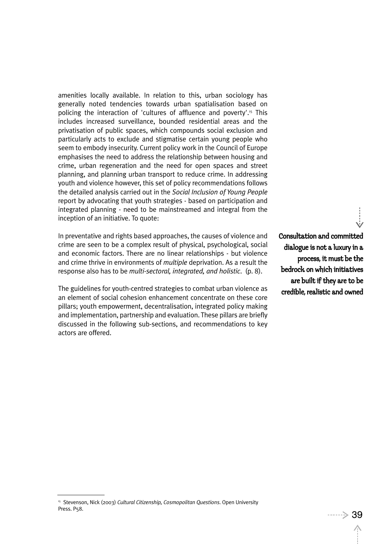amenities locally available. In relation to this, urban sociology has generally noted tendencies towards urban spatialisation based on policing the interaction of 'cultures of affluence and poverty'.<sup>15</sup> This includes increased surveillance, bounded residential areas and the privatisation of public spaces, which compounds social exclusion and particularly acts to exclude and stigmatise certain young people who seem to embody insecurity. Current policy work in the Council of Europe emphasises the need to address the relationship between housing and crime, urban regeneration and the need for open spaces and street planning, and planning urban transport to reduce crime. In addressing youth and violence however, this set of policy recommendations follows the detailed analysis carried out in the *Social Inclusion of Young People* report by advocating that youth strategies - based on participation and integrated planning - need to be mainstreamed and integral from the inception of an initiative. To quote:

In preventative and rights based approaches, the causes of violence and crime are seen to be a complex result of physical, psychological, social and economic factors. There are no linear relationships - but violence and crime thrive in environments of *multiple* deprivation. As a result the response also has to be *multi-sectoral, integrated, and holistic*. (p. 8).

The guidelines for youth-centred strategies to combat urban violence as an element of social cohesion enhancement concentrate on these core pillars; youth empowerment, decentralisation, integrated policy making and implementation, partnership and evaluation. These pillars are briefly discussed in the following sub-sections, and recommendations to key actors are offered.

Consultation and committed dialogue is not a luxury in a process, it must be the bedrock on which initiatives are built if they are to be credible, realistic and owned

<sup>15</sup> Stevenson, Nick (2003) *Cultural Citizenship, Cosmopolitan Questions*. Open University Press. P<sub>5</sub>8.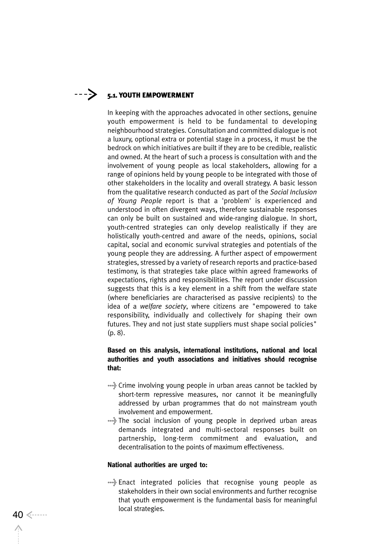## $---\}$  5.1. YOUTH EMPOWERMENT

In keeping with the approaches advocated in other sections, genuine youth empowerment is held to be fundamental to developing neighbourhood strategies. Consultation and committed dialogue is not a luxury, optional extra or potential stage in a process, it must be the bedrock on which initiatives are built if they are to be credible, realistic and owned. At the heart of such a process is consultation with and the involvement of young people as local stakeholders, allowing for a range of opinions held by young people to be integrated with those of other stakeholders in the locality and overall strategy. A basic lesson from the qualitative research conducted as part of the *Social Inclusion of Young People* report is that a 'problem' is experienced and understood in often divergent ways, therefore sustainable responses can only be built on sustained and wide-ranging dialogue. In short, youth-centred strategies can only develop realistically if they are holistically youth-centred and aware of the needs, opinions, social capital, social and economic survival strategies and potentials of the young people they are addressing. A further aspect of empowerment strategies, stressed by a variety of research reports and practice-based testimony, is that strategies take place within agreed frameworks of expectations, rights and responsibilities. The report under discussion suggests that this is a key element in a shift from the welfare state (where beneficiaries are characterised as passive recipients) to the idea of a *welfare society*, where citizens are "empowered to take responsibility, individually and collectively for shaping their own futures. They and not just state suppliers must shape social policies" (p. 8).

## **Based on this analysis, international institutions, national and local authorities and youth associations and initiatives should recognise that:**

- >Crime involving young people in urban areas cannot be tackled by short-term repressive measures, nor cannot it be meaningfully addressed by urban programmes that do not mainstream youth involvement and empowerment.
- >The social inclusion of young people in deprived urban areas demands integrated and multi-sectoral responses built on partnership, long-term commitment and evaluation, and decentralisation to the points of maximum effectiveness.

#### **National authorities are urged to:**

>Enact integrated policies that recognise young people as stakeholders in their own social environments and further recognise that youth empowerment is the fundamental basis for meaningful local strategies. <sup>40</sup>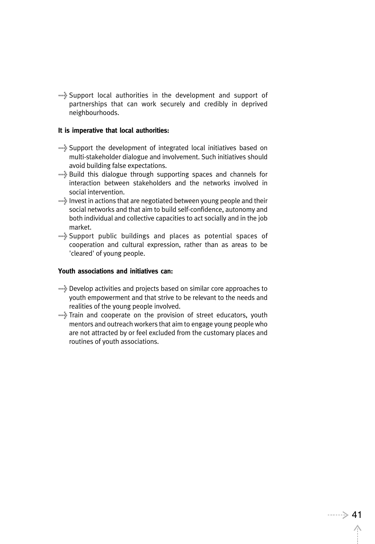>Support local authorities in the development and support of partnerships that can work securely and credibly in deprived neighbourhoods.

#### **It is imperative that local authorities:**

- >Support the development of integrated local initiatives based on multi-stakeholder dialogue and involvement. Such initiatives should avoid building false expectations.
- >Build this dialogue through supporting spaces and channels for interaction between stakeholders and the networks involved in social intervention.
- >Invest in actions that are negotiated between young people and their social networks and that aim to build self-confidence, autonomy and both individual and collective capacities to act socially and in the job market.
- >Support public buildings and places as potential spaces of cooperation and cultural expression, rather than as areas to be 'cleared' of young people.

## **Youth associations and initiatives can:**

- >Develop activities and projects based on similar core approaches to youth empowerment and that strive to be relevant to the needs and realities of the young people involved.
- >Train and cooperate on the provision of street educators, youth mentors and outreach workers that aim to engage young people who are not attracted by or feel excluded from the customary places and routines of youth associations.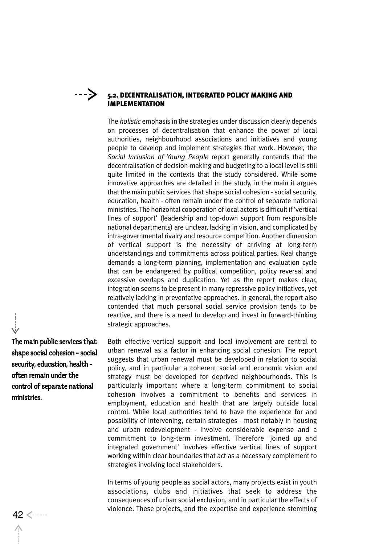## ---->

## 5.2. DECENTRALISATION, INTEGRATED POLICY MAKING AND IMPLEMENTATION

The *holistic* emphasis in the strategies under discussion clearly depends on processes of decentralisation that enhance the power of local authorities, neighbourhood associations and initiatives and young people to develop and implement strategies that work. However, the *Social Inclusion of Young People* report generally contends that the decentralisation of decision-making and budgeting to a local level is still quite limited in the contexts that the study considered. While some innovative approaches are detailed in the study, in the main it argues that the main public services that shape social cohesion - social security, education, health - often remain under the control of separate national ministries. The horizontal cooperation of local actors is difficult if 'vertical lines of support' (leadership and top-down support from responsible national departments) are unclear, lacking in vision, and complicated by intra-governmental rivalry and resource competition. Another dimension of vertical support is the necessity of arriving at long-term understandings and commitments across political parties. Real change demands a long-term planning, implementation and evaluation cycle that can be endangered by political competition, policy reversal and excessive overlaps and duplication. Yet as the report makes clear, integration seems to be present in many repressive policy initiatives, yet relatively lacking in preventative approaches. In general, the report also contended that much personal social service provision tends to be reactive, and there is a need to develop and invest in forward-thinking strategic approaches.

Both effective vertical support and local involvement are central to urban renewal as a factor in enhancing social cohesion. The report suggests that urban renewal must be developed in relation to social policy, and in particular a coherent social and economic vision and strategy must be developed for deprived neighbourhoods. This is particularly important where a long-term commitment to social cohesion involves a commitment to benefits and services in employment, education and health that are largely outside local control. While local authorities tend to have the experience for and possibility of intervening, certain strategies - most notably in housing and urban redevelopment - involve considerable expense and a commitment to long-term investment. Therefore 'joined up and integrated government' involves effective vertical lines of support working within clear boundaries that act as a necessary complement to strategies involving local stakeholders.

In terms of young people as social actors, many projects exist in youth associations, clubs and initiatives that seek to address the consequences of urban social exclusion, and in particular the effects of 42 <------<br>42 <------

The main public services that shape social cohesion - social security, education, health often remain under the control of separate national ministries.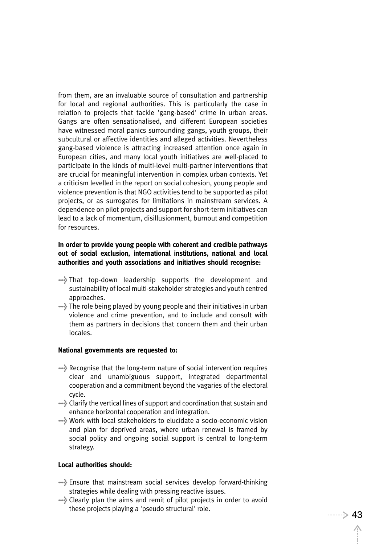from them, are an invaluable source of consultation and partnership for local and regional authorities. This is particularly the case in relation to projects that tackle 'gang-based' crime in urban areas. Gangs are often sensationalised, and different European societies have witnessed moral panics surrounding gangs, youth groups, their subcultural or affective identities and alleged activities. Nevertheless gang-based violence is attracting increased attention once again in European cities, and many local youth initiatives are well-placed to participate in the kinds of multi-level multi-partner interventions that are crucial for meaningful intervention in complex urban contexts. Yet a criticism levelled in the report on social cohesion, young people and violence prevention is that NGO activities tend to be supported as pilot projects, or as surrogates for limitations in mainstream services. A dependence on pilot projects and support for short-term initiatives can lead to a lack of momentum, disillusionment, burnout and competition for resources.

## **In order to provide young people with coherent and credible pathways out of social exclusion, international institutions, national and local authorities and youth associations and initiatives should recognise:**

- >That top-down leadership supports the development and sustainability of local multi-stakeholder strategies and youth centred approaches.
- >The role being played by young people and their initiatives in urban violence and crime prevention, and to include and consult with them as partners in decisions that concern them and their urban locales.

### **National governments are requested to:**

- >Recognise that the long-term nature of social intervention requires clear and unambiguous support, integrated departmental cooperation and a commitment beyond the vagaries of the electoral cycle.
- >Clarify the vertical lines of support and coordination that sustain and enhance horizontal cooperation and integration.
- >Work with local stakeholders to elucidate a socio-economic vision and plan for deprived areas, where urban renewal is framed by social policy and ongoing social support is central to long-term strategy.

#### **Local authorities should:**

- >Ensure that mainstream social services develop forward-thinking strategies while dealing with pressing reactive issues.
- >Clearly plan the aims and remit of pilot projects in order to avoid these projects playing a 'pseudo structural' role.  $43$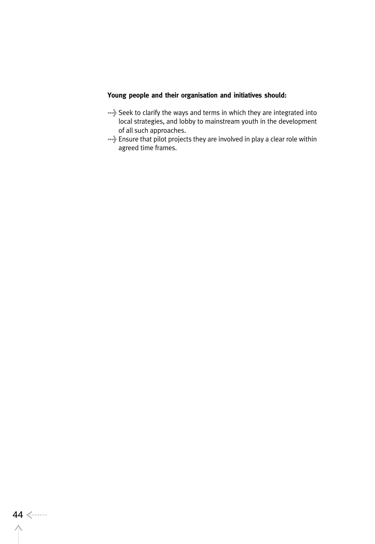## **Young people and their organisation and initiatives should:**

- >Seek to clarify the ways and terms in which they are integrated into local strategies, and lobby to mainstream youth in the development of all such approaches.
- >Ensure that pilot projects they are involved in play a clear role within agreed time frames.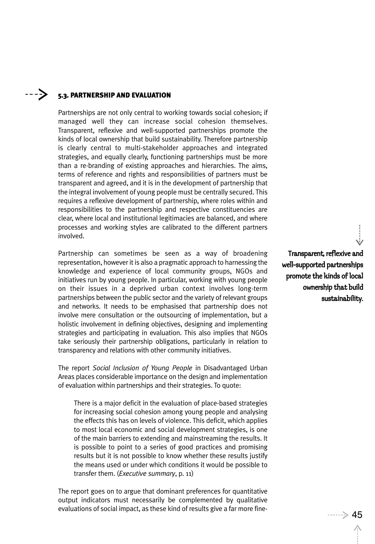#### ----> 5.3. PARTNERSHIP AND EVALUATION

Partnerships are not only central to working towards social cohesion; if managed well they can increase social cohesion themselves. Transparent, reflexive and well-supported partnerships promote the kinds of local ownership that build sustainability. Therefore partnership is clearly central to multi-stakeholder approaches and integrated strategies, and equally clearly, functioning partnerships must be more than a re-branding of existing approaches and hierarchies. The aims, terms of reference and rights and responsibilities of partners must be transparent and agreed, and it is in the development of partnership that the integral involvement of young people must be centrally secured. This requires a reflexive development of partnership, where roles within and responsibilities to the partnership and respective constituencies are clear, where local and institutional legitimacies are balanced, and where processes and working styles are calibrated to the different partners involved.

Partnership can sometimes be seen as a way of broadening representation, however it is also a pragmatic approach to harnessing the knowledge and experience of local community groups, NGOs and initiatives run by young people. In particular, working with young people on their issues in a deprived urban context involves long-term partnerships between the public sector and the variety of relevant groups and networks. It needs to be emphasised that partnership does not involve mere consultation or the outsourcing of implementation, but a holistic involvement in defining objectives, designing and implementing strategies and participating in evaluation. This also implies that NGOs take seriously their partnership obligations, particularly in relation to transparency and relations with other community initiatives.

The report *Social Inclusion of Young People* in Disadvantaged Urban Areas places considerable importance on the design and implementation of evaluation within partnerships and their strategies. To quote:

There is a major deficit in the evaluation of place-based strategies for increasing social cohesion among young people and analysing the effects this has on levels of violence. This deficit, which applies to most local economic and social development strategies, is one of the main barriers to extending and mainstreaming the results. It is possible to point to a series of good practices and promising results but it is not possible to know whether these results justify the means used or under which conditions it would be possible to transfer them. (*Executive summary*, p. 11)

The report goes on to argue that dominant preferences for quantitative output indicators must necessarily be complemented by qualitative evaluations of social impact, as these kind of results give a far more fine-<br> $45$ 

Transparent, reflexive and well-supported partnerships promote the kinds of local ownership that build sustainability.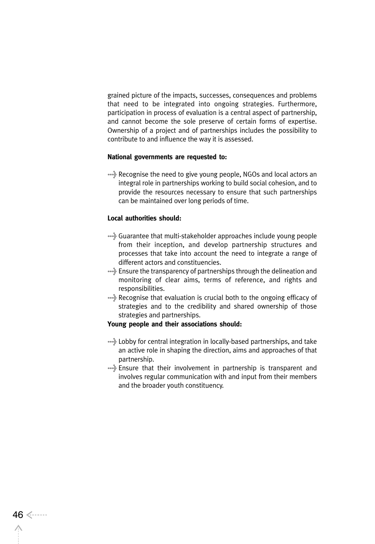grained picture of the impacts, successes, consequences and problems that need to be integrated into ongoing strategies. Furthermore, participation in process of evaluation is a central aspect of partnership, and cannot become the sole preserve of certain forms of expertise. Ownership of a project and of partnerships includes the possibility to contribute to and influence the way it is assessed.

### **National governments are requested to:**

>Recognise the need to give young people, NGOs and local actors an integral role in partnerships working to build social cohesion, and to provide the resources necessary to ensure that such partnerships can be maintained over long periods of time.

### **Local authorities should:**

- >Guarantee that multi-stakeholder approaches include young people from their inception, and develop partnership structures and processes that take into account the need to integrate a range of different actors and constituencies.
- >Ensure the transparency of partnerships through the delineation and monitoring of clear aims, terms of reference, and rights and responsibilities.
- >Recognise that evaluation is crucial both to the ongoing efficacy of strategies and to the credibility and shared ownership of those strategies and partnerships.

#### **Young people and their associations should:**

- >Lobby for central integration in locally-based partnerships, and take an active role in shaping the direction, aims and approaches of that partnership.
- >Ensure that their involvement in partnership is transparent and involves regular communication with and input from their members and the broader youth constituency.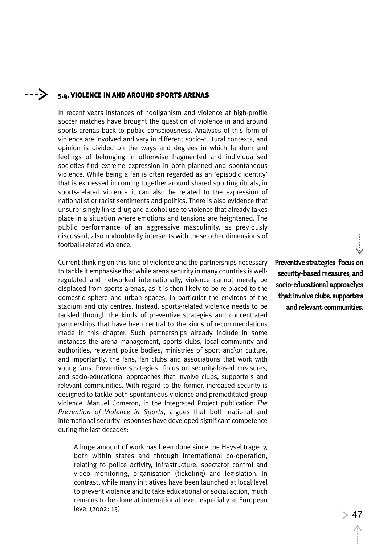#### ----> 5.4. VIOLENCE IN AND AROUND SPORTS ARENAS

In recent years instances of hooliganism and violence at high-profile soccer matches have brought the question of violence in and around sports arenas back to public consciousness. Analyses of this form of violence are involved and vary in different socio-cultural contexts, and opinion is divided on the ways and degrees in which fandom and feelings of belonging in otherwise fragmented and individualised societies find extreme expression in both planned and spontaneous violence. While being a fan is often regarded as an 'episodic identity' that is expressed in coming together around shared sporting rituals, in sports-related violence it can also be related to the expression of nationalist or racist sentiments and politics. There is also evidence that unsurprisingly links drug and alcohol use to violence that already takes place in a situation where emotions and tensions are heightened. The public performance of an aggressive masculinity, as previously discussed, also undoubtedly intersects with these other dimensions of football-related violence.

Current thinking on this kind of violence and the partnerships necessary to tackle it emphasise that while arena security in many countries is wellregulated and networked internationally, violence cannot merely be displaced from sports arenas, as it is then likely to be re-placed to the domestic sphere and urban spaces, in particular the environs of the stadium and city centres. Instead, sports-related violence needs to be tackled through the kinds of preventive strategies and concentrated partnerships that have been central to the kinds of recommendations made in this chapter. Such partnerships already include in some instances the arena management, sports clubs, local community and authorities, relevant police bodies, ministries of sport and\or culture, and importantly, the fans, fan clubs and associations that work with young fans. Preventive strategies focus on security-based measures, and socio-educational approaches that involve clubs, supporters and relevant communities. With regard to the former, increased security is designed to tackle both spontaneous violence and premeditated group violence. Manuel Comeron, in the Integrated Project publication *The Prevention of Violence in Sports*, argues that both national and international security responses have developed significant competence during the last decades:

A huge amount of work has been done since the Heysel tragedy, both within states and through international co-operation, relating to police activity, infrastructure, spectator control and video monitoring, organisation (ticketing) and legislation. In contrast, while many initiatives have been launched at local level to prevent violence and to take educational or social action, much remains to be done at international level, especially at European level (2002: 13)  $\longrightarrow$  47

Preventive strategies focus on security-based measures, and socio-educational approaches that involve clubs, supporters and relevant communities.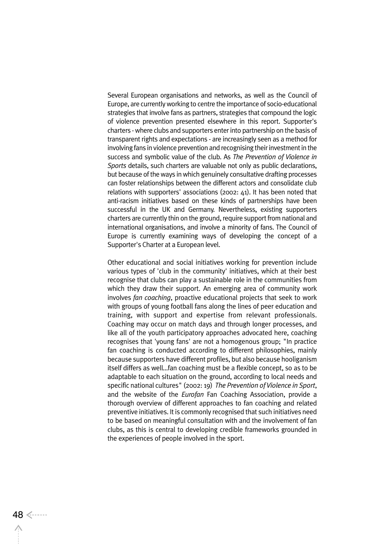Several European organisations and networks, as well as the Council of Europe, are currently working to centre the importance of socio-educational strategies that involve fans as partners, strategies that compound the logic of violence prevention presented elsewhere in this report. Supporter's charters - where clubs and supporters enter into partnership on the basis of transparent rights and expectations - are increasingly seen as a method for involving fans in violence prevention and recognising their investment in the success and symbolic value of the club. As *The Prevention of Violence in Sports* details, such charters are valuable not only as public declarations, but because of the ways in which genuinely consultative drafting processes can foster relationships between the different actors and consolidate club relations with supporters' associations (2002: 41). It has been noted that anti-racism initiatives based on these kinds of partnerships have been successful in the UK and Germany. Nevertheless, existing supporters charters are currently thin on the ground, require support from national and international organisations, and involve a minority of fans. The Council of Europe is currently examining ways of developing the concept of a Supporter's Charter at a European level.

Other educational and social initiatives working for prevention include various types of 'club in the community' initiatives, which at their best recognise that clubs can play a sustainable role in the communities from which they draw their support. An emerging area of community work involves *fan coaching*, proactive educational projects that seek to work with groups of young football fans along the lines of peer education and training, with support and expertise from relevant professionals. Coaching may occur on match days and through longer processes, and like all of the youth participatory approaches advocated here, coaching recognises that 'young fans' are not a homogenous group; "In practice fan coaching is conducted according to different philosophies, mainly because supporters have different profiles, but also because hooliganism itself differs as well…fan coaching must be a flexible concept, so as to be adaptable to each situation on the ground, according to local needs and specific national cultures" (2002: 19) *The Prevention of Violence in Sport*, and the website of the *Eurofan* Fan Coaching Association, provide a thorough overview of different approaches to fan coaching and related preventive initiatives. It is commonly recognised that such initiatives need to be based on meaningful consultation with and the involvement of fan clubs, as this is central to developing credible frameworks grounded in the experiences of people involved in the sport.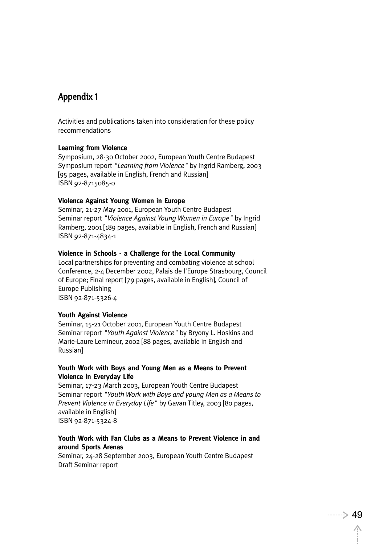## Appendix 1

Activities and publications taken into consideration for these policy recommendations

#### **Learning from Violence**

Symposium, 28-30 October 2002, European Youth Centre Budapest Symposium report *"Learning from Violence"* by Ingrid Ramberg, 2003 [95 pages, available in English, French and Russian] ISBN 92-8715085-0

#### **Violence Against Young Women in Europe**

Seminar, 21-27 May 2001, European Youth Centre Budapest Seminar report *"Violence Against Young Women in Europe"* by Ingrid Ramberg, 2001 [189 pages, available in English, French and Russian] ISBN 92-871-4834-1

### **Violence in Schools - a Challenge for the Local Community**

Local partnerships for preventing and combating violence at school Conference, 2-4 December 2002, Palais de l'Europe Strasbourg, Council of Europe; Final report [79 pages, available in English], Council of Europe Publishing ISBN 92-871-5326-4

#### **Youth Against Violence**

Seminar, 15-21 October 2001, European Youth Centre Budapest Seminar report *"Youth Against Violence"* by Bryony L. Hoskins and Marie-Laure Lemineur, 2002 [88 pages, available in English and Russian]

#### **Youth Work with Boys and Young Men as a Means to Prevent Violence in Everyday Life**

Seminar, 17-23 March 2003, European Youth Centre Budapest Seminar report *"Youth Work with Boys and young Men as a Means to Prevent Violence in Everyday Life"* by Gavan Titley, 2003 [80 pages, available in English] ISBN 92-871-5324-8

## **Youth Work with Fan Clubs as a Means to Prevent Violence in and around Sports Arenas**

Seminar, 24-28 September 2003, European Youth Centre Budapest Draft Seminar report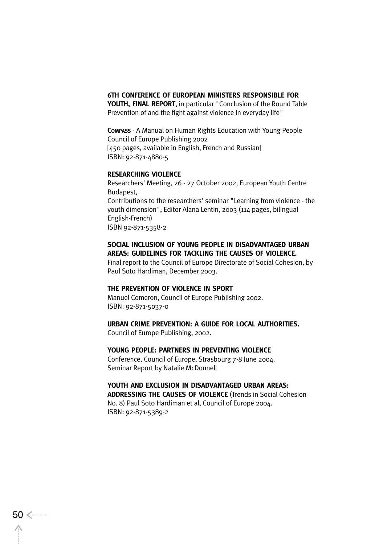### **6TH CONFERENCE OF EUROPEAN MINISTERS RESPONSIBLE FOR**

**YOUTH, FINAL REPORT**, in particular "Conclusion of the Round Table Prevention of and the fight against violence in everyday life"

**COMPASS** - A Manual on Human Rights Education with Young People Council of Europe Publishing 2002 [450 pages, available in English, French and Russian] ISBN: 92-871-4880-5

#### **RESEARCHING VIOLENCE**

Researchers' Meeting, 26 - 27 October 2002, European Youth Centre Budapest, Contributions to the researchers' seminar "Learning from violence - the youth dimension", Editor Alana Lentin, 2003 (114 pages, bilingual English-French) ISBN 92-871-5358-2

## **SOCIAL INCLUSION OF YOUNG PEOPLE IN DISADVANTAGED URBAN AREAS: GUIDELINES FOR TACKLING THE CAUSES OF VIOLENCE.**

Final report to the Council of Europe Directorate of Social Cohesion, by Paul Soto Hardiman, December 2003.

#### **THE PREVENTION OF VIOLENCE IN SPORT**

Manuel Comeron, Council of Europe Publishing 2002. ISBN: 92-871-5037-0

#### **URBAN CRIME PREVENTION: A GUIDE FOR LOCAL AUTHORITIES.**

Council of Europe Publishing, 2002.

#### **YOUNG PEOPLE: PARTNERS IN PREVENTING VIOLENCE**

Conference, Council of Europe, Strasbourg 7-8 June 2004. Seminar Report by Natalie McDonnell

## **YOUTH AND EXCLUSION IN DISADVANTAGED URBAN AREAS:**

**ADDRESSING THE CAUSES OF VIOLENCE** (Trends in Social Cohesion No. 8) Paul Soto Hardiman et al, Council of Europe 2004. ISBN: 92-871-5389-2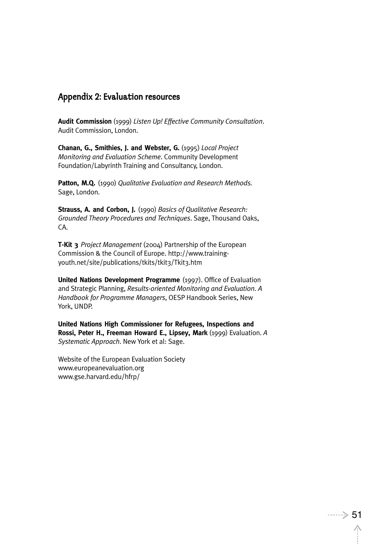## Appendix 2: Evaluation resources

**Audit Commission** (1999) *Listen Up! Effective Community Consultation*. Audit Commission, London.

**Chanan, G., Smithies, J. and Webster, G.** (1995) *Local Project Monitoring and Evaluation Scheme*. Community Development Foundation/Labyrinth Training and Consultancy, London.

**Patton, M.Q.** (1990) *Qualitative Evaluation and Research Methods.* Sage, London.

**Strauss, A. and Corbon, J.** (1990) *Basics of Qualitative Research: Grounded Theory Procedures and Techniques*. Sage, Thousand Oaks, CA.

**T-Kit 3** *Project Management* (2004) Partnership of the European Commission & the Council of Europe. http://www.trainingyouth.net/site/publications/tkits/tkit3/Tkit3.htm

**United Nations Development Programme** (1997). Office of Evaluation and Strategic Planning, *Results-oriented Monitoring and Evaluation. A Handbook for Programme Managers*, OESP Handbook Series, New York, UNDP.

**United Nations High Commissioner for Refugees, Inspections and Rossi, Peter H., Freeman Howard E., Lipsey, Mark** (1999) Evaluation. *A Systematic Approach*. New York et al: Sage.

Website of the European Evaluation Society www.europeanevaluation.org www.gse.harvard.edu/hfrp/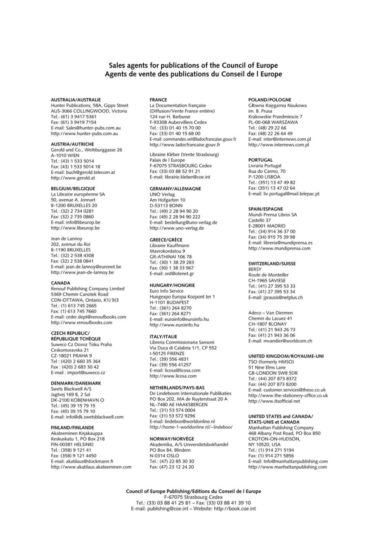#### Sales agents for publications of the Council of Europe Agents de vente des publications du Conseil de l Europe

#### **AUSTRALIA/AUSTRALIE**

Hunter Publications, 58A, Gipps Street AUS-3066 COLLINGWOOD, Victoria Tel.: (61) 3 9417 5361 Fax: (61) 3 9419 7154 E-mail: Sales@hunter-pubs.com.au http://www.hunter-pubs.com.au

#### **AUSTRIA/AUTRICHE**

Gerold und Co., Weihburggasse 26 **A-1010 WIEN** Tel.: (43) 1 533 5014 Fax: (43) 1 533 5014 18 E-mail: buch@gerold.telecom.at http://www.gerold.at

#### **BELGIUM/BELGIQUE**

La Librairie européenne SA 50, avenue A. Jonnart **B-1200 BRUXELLES 20** Tel.: (32) 2 734 0281 Fax: (32) 2 735 0860 E-mail: info@libeurop.be http://www.libeurop.be

Jean de Lannoy 202, avenue du Roi **B-1190 BRUXELLES** Tel.: (32) 2 538 4308 Fax: (32) 2 538 0841 E-mail: jean.de.lannoy@euronet.be http://www.jean-de-lannoy.be

#### CANADA

Renouf Publishing Company Limited 5369 Chemin Canotek Road CDN-OTTAWA, Ontario, K1J 9J3 Tel.: (1) 613 745 2665 Fax: (1) 613 745 7660 E-mail: order.dept@renoufbooks.com http://www.renoufbooks.com

#### **CZECH REPUBLIC/**

**RÉPUBLIQUE TCHÈQUE** Suweco Cz Dovoz Tisku Praha Ceskomoravska 21 CZ-18021 PRAHA 9 Tel: (420) 2 660 35 364 Fax: (420) 2 683 30 42 E-mail: import@suweco.cz

#### DENMARK/DANEMARK

Swets Blackwell A/S Jagtvej 169 B, 2 Sal DK-2100 KOBENHAVN O Tel.: (45) 39 15 79 15 Fax: (45) 39 15 79 10 E-mail: info@dk.swetsblackwell.com

#### **FINLAND/FINLANDE**

Akateeminen Kirjakauppa Keskuskatu 1, PO Box 218 FIN-00381 HELSINKI Tel.: (358) 9 121 41 Fax: (358) 9 121 4450 E-mail: akatilaus@stockmann.fi http://www.akatilaus.akateeminen.com

#### **FRANCE**

La Documentation française (Diffusion/Vente France entière) 124 rue H. Barbusse F-93308 Aubervilliers Cedex Tel.: (33) 01 40 15 70 00 Fax: (33) 01 40 15 68 00 E-mail: commandes.vel@ladocfrancaise.gouv.fr http://www.ladocfrancaise.gouv.fr

Librairie Kléber (Vente Strasbourg) Palais de l Europe F-67075 STRASBOURG Cedex Fax: (33) 03 88 52 91 21 E-mail: librairie.kleber@coe.int

#### **GERMANY/ALLEMAGNE**

UNO Verlag<br>Am Hofgarten 10 D-53113 BONN Tel.: (49) 2 28 94 90 20 Fax: (49) 2 28 94 90 222 E-mail: bestellung@uno-verlag.de http://www.uno-verlag.de

#### **GREECE/GRÈCE**

Librairie Kauffmann Mavrokordatou 9 GR-ATHINAI 106 78 Tel.: (30) 1 38 29 283 Fax: (30) 1 38 33 967 E-mail: ord@otenet.gr

#### **HUNGARY/HONGRIE**

Euro Info Service Hungexpo Europa Kozpont ter 1 H-1101 BUDAPEST Tel.: (361) 264 8270 Fax: (361) 264 8271 E-mail: euroinfo@euroinfo.hu http://www.euroinfo.hu

#### **ITALY/ITALIE**

Libreria Commissionaria Sansoni Via Duca di Calabria 1/1, CP 552 I-50125 FIRENZE Tel.: (39) 556 4831 Fax: (39) 556 41257 E-mail: licosa@licosa.com http://www.licosa.com

#### NETHERLANDS/PAYS-BAS

De Lindeboom Internationale Publikaties PO Box 202, MA de Ruyterstraat 20 A NL-7480 AE HAAKSBERGEN Tel.: (31) 53 574 0004 Fax: (31) 53 572 9296 E-mail: lindeboo@worldonline.nl http://home-1-worldonline.nl/~lindeboo/

#### **NORWAY/NORVÈGE**

Akademika, A/S Universitetsbokhandel PO Box 84, Blindern N-0314 OSLO Tel.: (47) 22 85 30 30 Fax: (47) 23 12 24 20

#### POLAND/POLOGNE

Głowna Księgarnia Naukowa im. B. Prusa Krakowskie Przedmiescie 7 PL-00-068 WARSZAWA Tel.: (48) 29 22 66 Fax: (48) 22 26 64 49 E-mail: inter@internews.com.pl http://www.internews.com.pl

#### **PORTUGAL**

Livraria Portugal Rua do Carmo, 70 P-1200 LISBOA Tel.: (351) 13 47 49 82 Fax: (351) 13 47 02 64 E-mail: liv.portugal@mail.telepac.pt

#### SPAIN/ESPAGNE

Mundi-Prensa Libros SA Castelló 37 E-28001 MADRID Tel.: (34) 914 36 37 00 Fax: (34) 915 75 39 98 E-mail: libreria@mundiprensa.es http://www.mundiprensa.com

#### SWITZERLAND/SUISSE

**BERSY** Route de Monteiller CH-1965 SAVIESE Tel.: (41) 27 395 53 33 Fax: (41) 27 395 53 34 E-mail: jprausis@netplus.ch

Adeco - Van Diermen Chemin du Lacuez 41 CH-1807 BLONAY Tel.: (41) 21 943 26 73 Fax: (41) 21 943 36 06 E-mail: mvandier@worldcom.ch

#### **UNITED KINGDOM/ROYAUME-UNI**

TSO (formerly HMSO) 51 Nine Elms Lane **GB-LONDON SW8 5DR** Tel.: (44) 207 873 8372 Fax: (44) 207 873 8200 E-mail: customer.services@theso.co.uk http://www.the-stationery-office.co.uk http://www.itsofficial.net

#### UNITED STATES and CANADA/ ÉTATS-UNIS et CANADA

Manhattan Publishing Company 468 Albany Post Road, PO Box 850 CROTON-ON-HUDSON, NY 10520, USA Tel.: (1) 914 271 5194 Fax: (1) 914 271 5856 E-mail: Info@manhattanpublishing.com http://www.manhattanpublishing.com

Council of Europe Publishing/Editions du Conseil de l Europe F-67075 Strasbourg Cedex Tel.: (33) 03 88 41 25 81 - Fax: (33) 03 88 41 39 10 E-mail: publishing@coe.int - Website: http://book.coe.int